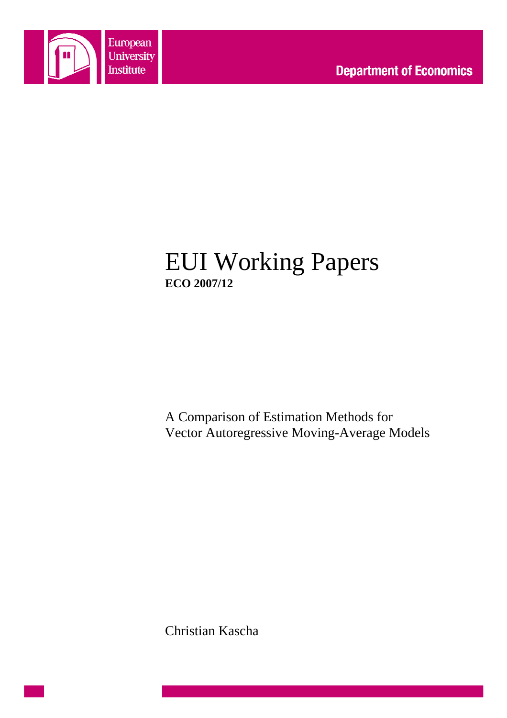

# EUI Working Papers **ECO 2007/12**

A Comparison of Estimation Methods for Vector Autoregressive Moving-Average Models

Christian Kascha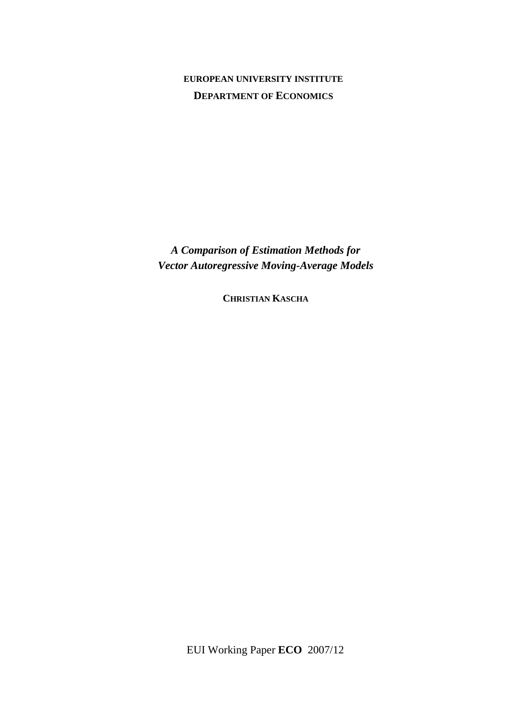## **EUROPEAN UNIVERSITY INSTITUTE DEPARTMENT OF ECONOMICS**

*A Comparison of Estimation Methods for Vector Autoregressive Moving-Average Models* 

**CHRISTIAN KASCHA**

EUI Working Paper **ECO** 2007/12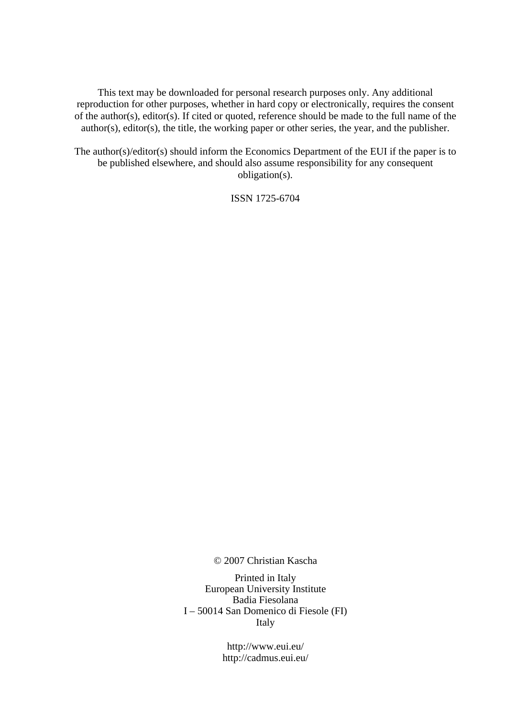This text may be downloaded for personal research purposes only. Any additional reproduction for other purposes, whether in hard copy or electronically, requires the consent of the author(s), editor(s). If cited or quoted, reference should be made to the full name of the author(s), editor(s), the title, the working paper or other series, the year, and the publisher.

The author(s)/editor(s) should inform the Economics Department of the EUI if the paper is to be published elsewhere, and should also assume responsibility for any consequent obligation(s).

ISSN 1725-6704

© 2007 Christian Kascha

Printed in Italy European University Institute Badia Fiesolana I – 50014 San Domenico di Fiesole (FI) Italy

> http://www.eui.eu/ http://cadmus.eui.eu/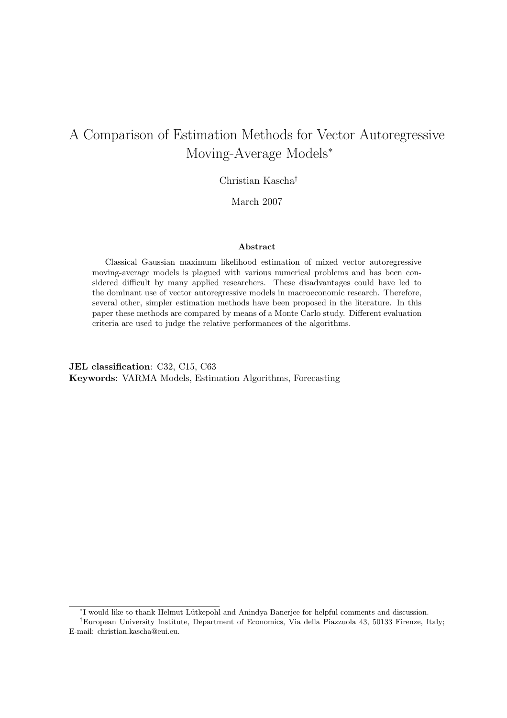## A Comparison of Estimation Methods for Vector Autoregressive Moving-Average Models<sup>∗</sup>

### Christian Kascha†

March 2007

#### Abstract

Classical Gaussian maximum likelihood estimation of mixed vector autoregressive moving-average models is plagued with various numerical problems and has been considered difficult by many applied researchers. These disadvantages could have led to the dominant use of vector autoregressive models in macroeconomic research. Therefore, several other, simpler estimation methods have been proposed in the literature. In this paper these methods are compared by means of a Monte Carlo study. Different evaluation criteria are used to judge the relative performances of the algorithms.

JEL classification: C32, C15, C63 Keywords: VARMA Models, Estimation Algorithms, Forecasting

<sup>∗</sup> I would like to thank Helmut L¨utkepohl and Anindya Banerjee for helpful comments and discussion.

<sup>†</sup>European University Institute, Department of Economics, Via della Piazzuola 43, 50133 Firenze, Italy; E-mail: christian.kascha@eui.eu.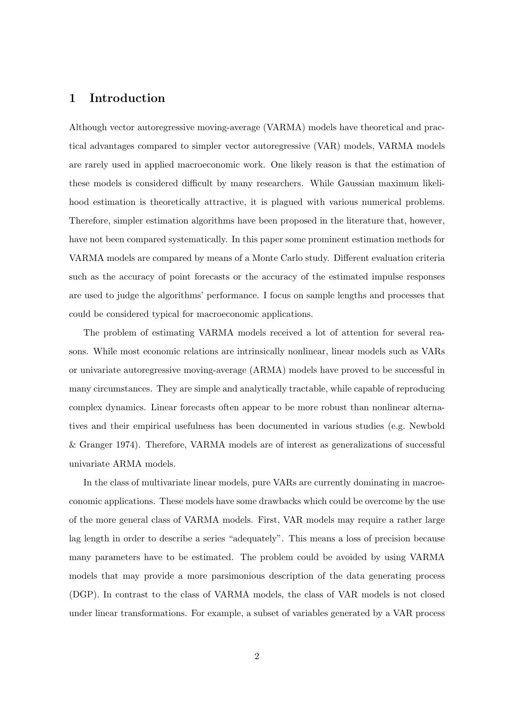## 1 Introduction

Although vector autoregressive moving-average (VARMA) models have theoretical and practical advantages compared to simpler vector autoregressive (VAR) models, VARMA models are rarely used in applied macroeconomic work. One likely reason is that the estimation of these models is considered difficult by many researchers. While Gaussian maximum likelihood estimation is theoretically attractive, it is plagued with various numerical problems. Therefore, simpler estimation algorithms have been proposed in the literature that, however, have not been compared systematically. In this paper some prominent estimation methods for VARMA models are compared by means of a Monte Carlo study. Different evaluation criteria such as the accuracy of point forecasts or the accuracy of the estimated impulse responses are used to judge the algorithms' performance. I focus on sample lengths and processes that could be considered typical for macroeconomic applications.

The problem of estimating VARMA models received a lot of attention for several reasons. While most economic relations are intrinsically nonlinear, linear models such as VARs or univariate autoregressive moving-average (ARMA) models have proved to be successful in many circumstances. They are simple and analytically tractable, while capable of reproducing complex dynamics. Linear forecasts often appear to be more robust than nonlinear alternatives and their empirical usefulness has been documented in various studies (e.g. Newbold & Granger 1974). Therefore, VARMA models are of interest as generalizations of successful univariate ARMA models.

In the class of multivariate linear models, pure VARs are currently dominating in macroeconomic applications. These models have some drawbacks which could be overcome by the use of the more general class of VARMA models. First, VAR models may require a rather large lag length in order to describe a series "adequately". This means a loss of precision because many parameters have to be estimated. The problem could be avoided by using VARMA models that may provide a more parsimonious description of the data generating process (DGP). In contrast to the class of VARMA models, the class of VAR models is not closed under linear transformations. For example, a subset of variables generated by a VAR process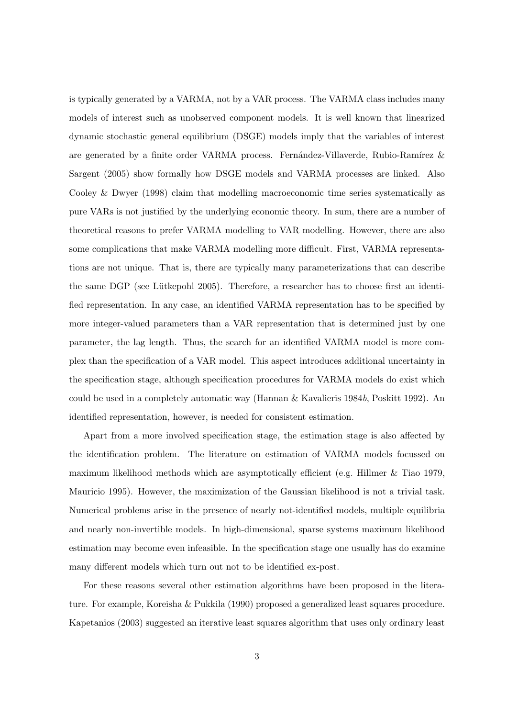is typically generated by a VARMA, not by a VAR process. The VARMA class includes many models of interest such as unobserved component models. It is well known that linearized dynamic stochastic general equilibrium (DSGE) models imply that the variables of interest are generated by a finite order VARMA process. Fernández-Villaverde, Rubio-Ramírez  $\&$ Sargent (2005) show formally how DSGE models and VARMA processes are linked. Also Cooley & Dwyer (1998) claim that modelling macroeconomic time series systematically as pure VARs is not justified by the underlying economic theory. In sum, there are a number of theoretical reasons to prefer VARMA modelling to VAR modelling. However, there are also some complications that make VARMA modelling more difficult. First, VARMA representations are not unique. That is, there are typically many parameterizations that can describe the same DGP (see Lütkepohl 2005). Therefore, a researcher has to choose first an identified representation. In any case, an identified VARMA representation has to be specified by more integer-valued parameters than a VAR representation that is determined just by one parameter, the lag length. Thus, the search for an identified VARMA model is more complex than the specification of a VAR model. This aspect introduces additional uncertainty in the specification stage, although specification procedures for VARMA models do exist which could be used in a completely automatic way (Hannan & Kavalieris 1984b, Poskitt 1992). An identified representation, however, is needed for consistent estimation.

Apart from a more involved specification stage, the estimation stage is also affected by the identification problem. The literature on estimation of VARMA models focussed on maximum likelihood methods which are asymptotically efficient (e.g. Hillmer & Tiao 1979, Mauricio 1995). However, the maximization of the Gaussian likelihood is not a trivial task. Numerical problems arise in the presence of nearly not-identified models, multiple equilibria and nearly non-invertible models. In high-dimensional, sparse systems maximum likelihood estimation may become even infeasible. In the specification stage one usually has do examine many different models which turn out not to be identified ex-post.

For these reasons several other estimation algorithms have been proposed in the literature. For example, Koreisha & Pukkila (1990) proposed a generalized least squares procedure. Kapetanios (2003) suggested an iterative least squares algorithm that uses only ordinary least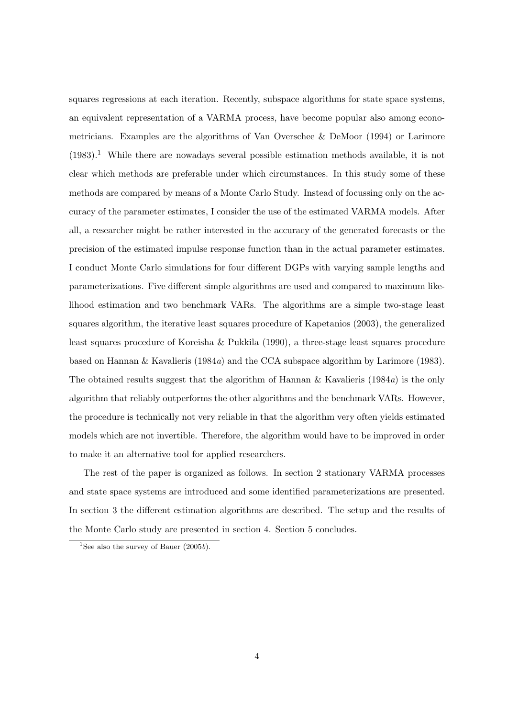squares regressions at each iteration. Recently, subspace algorithms for state space systems, an equivalent representation of a VARMA process, have become popular also among econometricians. Examples are the algorithms of Van Overschee & DeMoor (1994) or Larimore  $(1983).$ <sup>1</sup> While there are nowadays several possible estimation methods available, it is not clear which methods are preferable under which circumstances. In this study some of these methods are compared by means of a Monte Carlo Study. Instead of focussing only on the accuracy of the parameter estimates, I consider the use of the estimated VARMA models. After all, a researcher might be rather interested in the accuracy of the generated forecasts or the precision of the estimated impulse response function than in the actual parameter estimates. I conduct Monte Carlo simulations for four different DGPs with varying sample lengths and parameterizations. Five different simple algorithms are used and compared to maximum likelihood estimation and two benchmark VARs. The algorithms are a simple two-stage least squares algorithm, the iterative least squares procedure of Kapetanios (2003), the generalized least squares procedure of Koreisha & Pukkila (1990), a three-stage least squares procedure based on Hannan & Kavalieris (1984a) and the CCA subspace algorithm by Larimore (1983). The obtained results suggest that the algorithm of Hannan & Kavalieris  $(1984a)$  is the only algorithm that reliably outperforms the other algorithms and the benchmark VARs. However, the procedure is technically not very reliable in that the algorithm very often yields estimated models which are not invertible. Therefore, the algorithm would have to be improved in order to make it an alternative tool for applied researchers.

The rest of the paper is organized as follows. In section 2 stationary VARMA processes and state space systems are introduced and some identified parameterizations are presented. In section 3 the different estimation algorithms are described. The setup and the results of the Monte Carlo study are presented in section 4. Section 5 concludes.

<sup>&</sup>lt;sup>1</sup>See also the survey of Bauer  $(2005b)$ .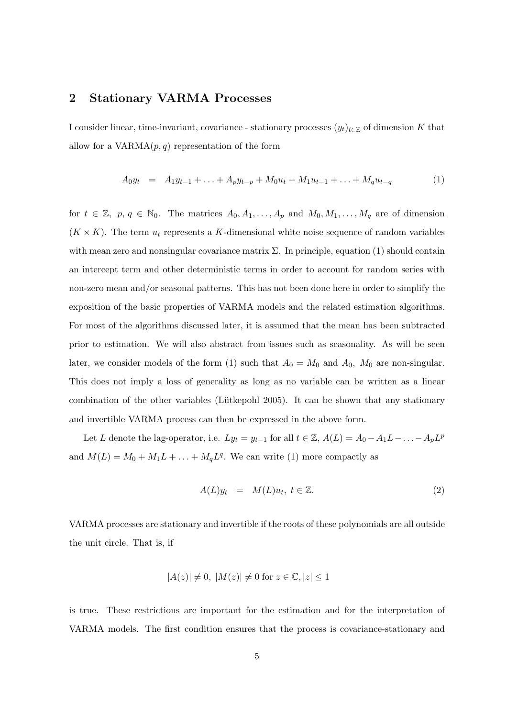### 2 Stationary VARMA Processes

I consider linear, time-invariant, covariance - stationary processes  $(y_t)_{t\in\mathbb{Z}}$  of dimension K that allow for a  $VARMA(p, q)$  representation of the form

$$
A_0 y_t = A_1 y_{t-1} + \ldots + A_p y_{t-p} + M_0 u_t + M_1 u_{t-1} + \ldots + M_q u_{t-q}
$$
 (1)

for  $t \in \mathbb{Z}$ ,  $p, q \in \mathbb{N}_0$ . The matrices  $A_0, A_1, \ldots, A_p$  and  $M_0, M_1, \ldots, M_q$  are of dimension  $(K \times K)$ . The term  $u_t$  represents a K-dimensional white noise sequence of random variables with mean zero and nonsingular covariance matrix  $\Sigma$ . In principle, equation (1) should contain an intercept term and other deterministic terms in order to account for random series with non-zero mean and/or seasonal patterns. This has not been done here in order to simplify the exposition of the basic properties of VARMA models and the related estimation algorithms. For most of the algorithms discussed later, it is assumed that the mean has been subtracted prior to estimation. We will also abstract from issues such as seasonality. As will be seen later, we consider models of the form (1) such that  $A_0 = M_0$  and  $A_0$ ,  $M_0$  are non-singular. This does not imply a loss of generality as long as no variable can be written as a linear combination of the other variables (Lütkepohl 2005). It can be shown that any stationary and invertible VARMA process can then be expressed in the above form.

Let L denote the lag-operator, i.e.  $Ly_t = y_{t-1}$  for all  $t \in \mathbb{Z}$ ,  $A(L) = A_0 - A_1 L - \ldots - A_p L^p$ and  $M(L) = M_0 + M_1L + \ldots + M_qL^q$ . We can write (1) more compactly as

$$
A(L)y_t = M(L)u_t, t \in \mathbb{Z}.
$$
\n<sup>(2)</sup>

VARMA processes are stationary and invertible if the roots of these polynomials are all outside the unit circle. That is, if

$$
|A(z)| \neq 0, |M(z)| \neq 0 \text{ for } z \in \mathbb{C}, |z| \leq 1
$$

is true. These restrictions are important for the estimation and for the interpretation of VARMA models. The first condition ensures that the process is covariance-stationary and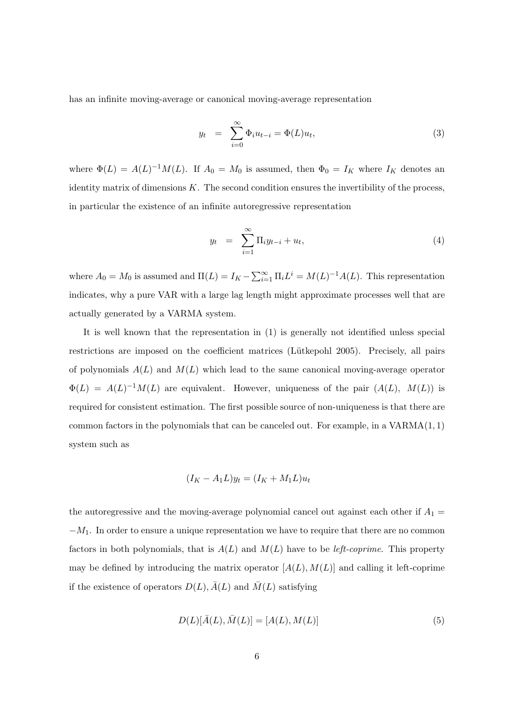has an infinite moving-average or canonical moving-average representation

$$
y_t = \sum_{i=0}^{\infty} \Phi_i u_{t-i} = \Phi(L) u_t,
$$
\n(3)

where  $\Phi(L) = A(L)^{-1}M(L)$ . If  $A_0 = M_0$  is assumed, then  $\Phi_0 = I_K$  where  $I_K$  denotes an identity matrix of dimensions  $K$ . The second condition ensures the invertibility of the process, in particular the existence of an infinite autoregressive representation

$$
y_t = \sum_{i=1}^{\infty} \Pi_i y_{t-i} + u_t, \qquad (4)
$$

where  $A_0 = M_0$  is assumed and  $\Pi(L) = I_K - \sum_{i=1}^{\infty}$  $\sum_{i=1}^{\infty} \Pi_i L^i = M(L)^{-1} A(L)$ . This representation indicates, why a pure VAR with a large lag length might approximate processes well that are actually generated by a VARMA system.

It is well known that the representation in (1) is generally not identified unless special restrictions are imposed on the coefficient matrices (Lütkepohl 2005). Precisely, all pairs of polynomials  $A(L)$  and  $M(L)$  which lead to the same canonical moving-average operator  $\Phi(L) = A(L)^{-1}M(L)$  are equivalent. However, uniqueness of the pair  $(A(L), M(L))$  is required for consistent estimation. The first possible source of non-uniqueness is that there are common factors in the polynomials that can be canceled out. For example, in a VARMA(1, 1) system such as

$$
(I_K - A_1 L)y_t = (I_K + M_1 L)u_t
$$

the autoregressive and the moving-average polynomial cancel out against each other if  $A_1 =$  $-M_1$ . In order to ensure a unique representation we have to require that there are no common factors in both polynomials, that is  $A(L)$  and  $M(L)$  have to be *left-coprime*. This property may be defined by introducing the matrix operator  $[A(L), M(L)]$  and calling it left-coprime if the existence of operators  $D(L)$ ,  $\bar{A}(L)$  and  $\bar{M}(L)$  satisfying

$$
D(L)[\bar{A}(L), \bar{M}(L)] = [A(L), M(L)]
$$
\n(5)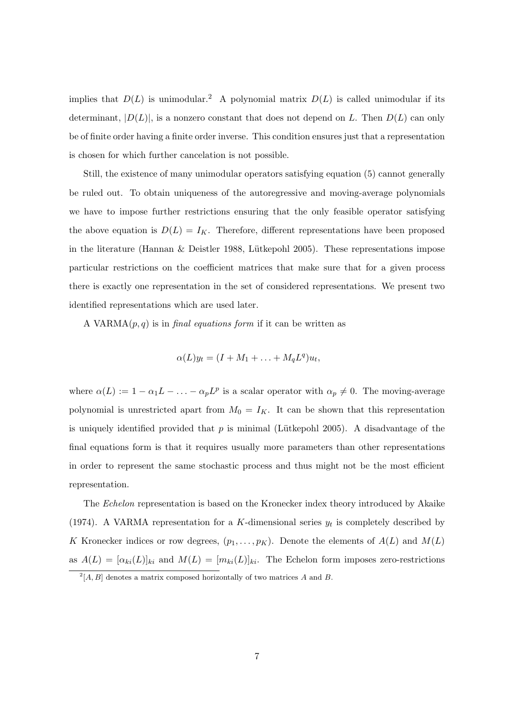implies that  $D(L)$  is unimodular.<sup>2</sup> A polynomial matrix  $D(L)$  is called unimodular if its determinant,  $|D(L)|$ , is a nonzero constant that does not depend on L. Then  $D(L)$  can only be of finite order having a finite order inverse. This condition ensures just that a representation is chosen for which further cancelation is not possible.

Still, the existence of many unimodular operators satisfying equation (5) cannot generally be ruled out. To obtain uniqueness of the autoregressive and moving-average polynomials we have to impose further restrictions ensuring that the only feasible operator satisfying the above equation is  $D(L) = I_K$ . Therefore, different representations have been proposed in the literature (Hannan  $&$  Deistler 1988, Lütkepohl 2005). These representations impose particular restrictions on the coefficient matrices that make sure that for a given process there is exactly one representation in the set of considered representations. We present two identified representations which are used later.

A VARMA $(p, q)$  is in *final equations form* if it can be written as

$$
\alpha(L)y_t = (I + M_1 + \ldots + M_qL^q)u_t,
$$

where  $\alpha(L) := 1 - \alpha_1 L - \ldots - \alpha_p L^p$  is a scalar operator with  $\alpha_p \neq 0$ . The moving-average polynomial is unrestricted apart from  $M_0 = I_K$ . It can be shown that this representation is uniquely identified provided that  $p$  is minimal (Lütkepohl 2005). A disadvantage of the final equations form is that it requires usually more parameters than other representations in order to represent the same stochastic process and thus might not be the most efficient representation.

The Echelon representation is based on the Kronecker index theory introduced by Akaike (1974). A VARMA representation for a K-dimensional series  $y_t$  is completely described by K Kronecker indices or row degrees,  $(p_1, \ldots, p_K)$ . Denote the elements of  $A(L)$  and  $M(L)$ as  $A(L) = [\alpha_{ki}(L)]_{ki}$  and  $M(L) = [m_{ki}(L)]_{ki}$ . The Echelon form imposes zero-restrictions

 $2[A, B]$  denotes a matrix composed horizontally of two matrices A and B.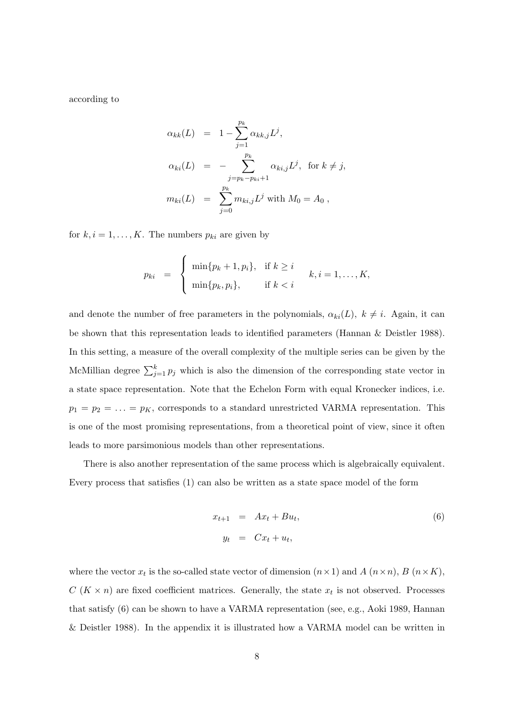according to

$$
\alpha_{kk}(L) = 1 - \sum_{j=1}^{p_k} \alpha_{kk,j} L^j,
$$
  
\n
$$
\alpha_{ki}(L) = - \sum_{j=p_k-p_{ki}+1}^{p_k} \alpha_{ki,j} L^j, \text{ for } k \neq j,
$$
  
\n
$$
m_{ki}(L) = \sum_{j=0}^{p_k} m_{ki,j} L^j \text{ with } M_0 = A_0,
$$

for  $k, i = 1, \ldots, K$ . The numbers  $p_{ki}$  are given by

$$
p_{ki} = \begin{cases} \min\{p_k + 1, p_i\}, & \text{if } k \geq i \\ \min\{p_k, p_i\}, & \text{if } k < i \end{cases} k, i = 1, \dots, K,
$$

and denote the number of free parameters in the polynomials,  $\alpha_{ki}(L)$ ,  $k \neq i$ . Again, it can be shown that this representation leads to identified parameters (Hannan & Deistler 1988). In this setting, a measure of the overall complexity of the multiple series can be given by the McMillian degree  $\sum_{j=1}^{k} p_j$  which is also the dimension of the corresponding state vector in a state space representation. Note that the Echelon Form with equal Kronecker indices, i.e.  $p_1 = p_2 = \ldots = p_K$ , corresponds to a standard unrestricted VARMA representation. This is one of the most promising representations, from a theoretical point of view, since it often leads to more parsimonious models than other representations.

There is also another representation of the same process which is algebraically equivalent. Every process that satisfies (1) can also be written as a state space model of the form

$$
x_{t+1} = Ax_t + Bu_t,
$$
  
\n
$$
y_t = Cx_t + u_t,
$$
\n(6)

where the vector  $x_t$  is the so-called state vector of dimension  $(n \times 1)$  and  $A$   $(n \times n)$ ,  $B$   $(n \times K)$ ,  $C(K \times n)$  are fixed coefficient matrices. Generally, the state  $x_t$  is not observed. Processes that satisfy (6) can be shown to have a VARMA representation (see, e.g., Aoki 1989, Hannan & Deistler 1988). In the appendix it is illustrated how a VARMA model can be written in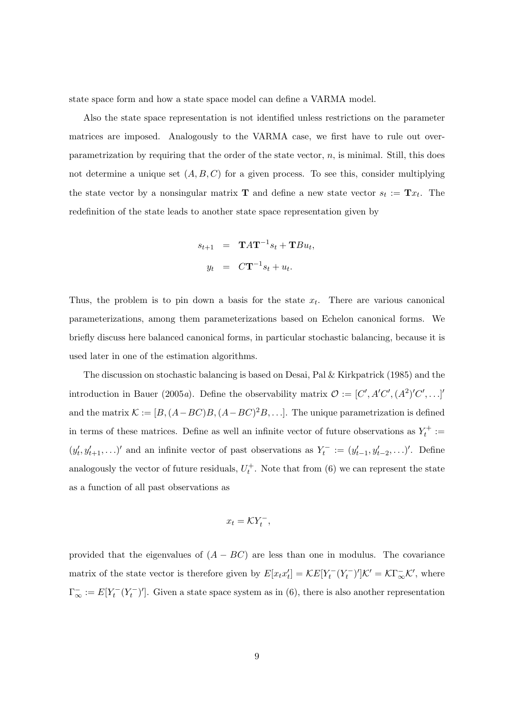state space form and how a state space model can define a VARMA model.

Also the state space representation is not identified unless restrictions on the parameter matrices are imposed. Analogously to the VARMA case, we first have to rule out overparametrization by requiring that the order of the state vector,  $n$ , is minimal. Still, this does not determine a unique set  $(A, B, C)$  for a given process. To see this, consider multiplying the state vector by a nonsingular matrix **T** and define a new state vector  $s_t := \mathbf{T} x_t$ . The redefinition of the state leads to another state space representation given by

$$
s_{t+1} = \mathbf{T}A\mathbf{T}^{-1}s_t + \mathbf{T}Bu_t,
$$
  

$$
y_t = C\mathbf{T}^{-1}s_t + u_t.
$$

Thus, the problem is to pin down a basis for the state  $x_t$ . There are various canonical parameterizations, among them parameterizations based on Echelon canonical forms. We briefly discuss here balanced canonical forms, in particular stochastic balancing, because it is used later in one of the estimation algorithms.

The discussion on stochastic balancing is based on Desai, Pal & Kirkpatrick (1985) and the introduction in Bauer (2005a). Define the observability matrix  $\mathcal{O} := [C', A'C', (A^2)'C', \ldots]$ and the matrix  $\mathcal{K} := [B, (A - BC)B, (A - BC)^2B, \ldots]$ . The unique parametrization is defined in terms of these matrices. Define as well an infinite vector of future observations as  $Y_t^+ :=$  $(y'_t, y'_{t+1}, \ldots)'$  and an infinite vector of past observations as  $Y_t^- := (y'_{t-1}, y'_{t-2}, \ldots)'$ . Define analogously the vector of future residuals,  $U_t^+$ . Note that from (6) we can represent the state as a function of all past observations as

$$
x_t = \mathcal{K} Y_t^-,
$$

provided that the eigenvalues of  $(A - BC)$  are less than one in modulus. The covariance matrix of the state vector is therefore given by  $E[x_t x_t'] = \mathcal{K} E[Y_t^-(Y_t^-)'] \mathcal{K}' = \mathcal{K} \Gamma_{\infty}^- \mathcal{K}'$ , where  $\Gamma_{\infty}^- := E[Y_t^-(Y_t^-)']$ . Given a state space system as in (6), there is also another representation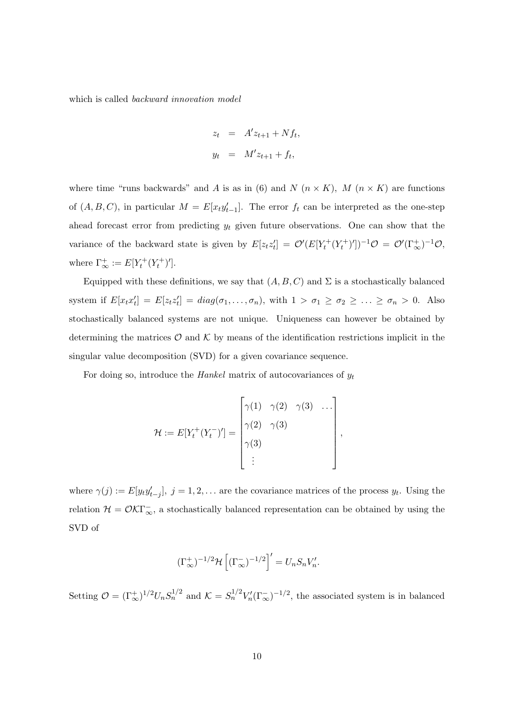which is called backward innovation model

$$
z_t = A'z_{t+1} + Nf_t,
$$
  

$$
y_t = M'z_{t+1} + f_t,
$$

where time "runs backwards" and A is as in (6) and N  $(n \times K)$ , M  $(n \times K)$  are functions of  $(A, B, C)$ , in particular  $M = E[x_t y_{t-1}']$ . The error  $f_t$  can be interpreted as the one-step ahead forecast error from predicting  $y_t$  given future observations. One can show that the variance of the backward state is given by  $E[z_t z_t'] = \mathcal{O}'(E[Y_t^+(Y_t^+)'])^{-1}\mathcal{O} = \mathcal{O}'(\Gamma_{\infty}^+)^{-1}\mathcal{O}$ , where  $\Gamma_{\infty}^+ := E[Y_t^+(Y_t^+)'].$ 

Equipped with these definitions, we say that  $(A, B, C)$  and  $\Sigma$  is a stochastically balanced system if  $E[x_t x_t'] = E[z_t z_t'] = diag(\sigma_1, ..., \sigma_n)$ , with  $1 > \sigma_1 \ge \sigma_2 \ge ... \ge \sigma_n > 0$ . Also stochastically balanced systems are not unique. Uniqueness can however be obtained by determining the matrices  $\mathcal O$  and  $\mathcal K$  by means of the identification restrictions implicit in the singular value decomposition (SVD) for a given covariance sequence.

For doing so, introduce the *Hankel* matrix of autocovariances of  $y_t$ 

$$
\mathcal{H} := E[Y_t^+(Y_t^-)'] = \begin{bmatrix} \gamma(1) & \gamma(2) & \gamma(3) & \dots \\ \gamma(2) & \gamma(3) & \\ \gamma(3) & & \\ \vdots & & \end{bmatrix}
$$

,

where  $\gamma(j) := E[y_t y'_{t-j}], j = 1, 2, \ldots$  are the covariance matrices of the process  $y_t$ . Using the relation  $\mathcal{H} = \mathcal{O} \mathcal{K} \Gamma_{\infty}$ , a stochastically balanced representation can be obtained by using the SVD of

$$
(\Gamma_{\infty}^+)^{-1/2} \mathcal{H}\left[ (\Gamma_{\infty}^-)^{-1/2} \right]' = U_n S_n V_n'.
$$

Setting  $\mathcal{O} = (\Gamma_{\infty}^+)^{1/2} U_n S_n^{1/2}$  and  $\mathcal{K} = S_n^{1/2} V_n'(\Gamma_{\infty}^-)^{-1/2}$ , the associated system is in balanced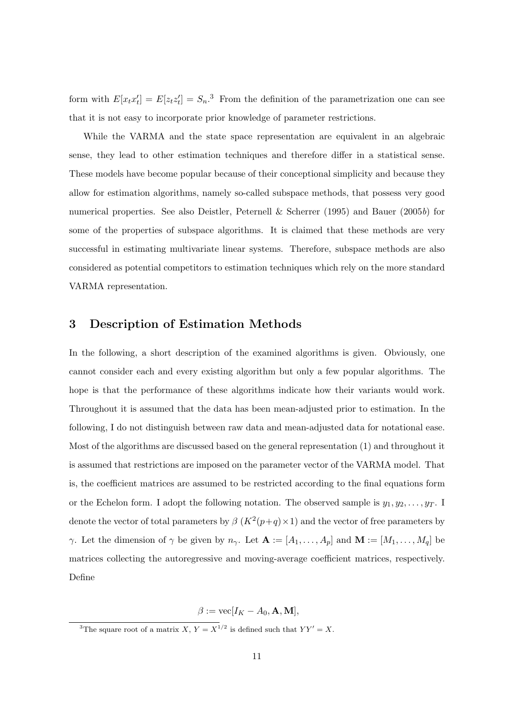form with  $E[x_t x_t'] = E[z_t z_t'] = S_n$ <sup>3</sup> From the definition of the parametrization one can see that it is not easy to incorporate prior knowledge of parameter restrictions.

While the VARMA and the state space representation are equivalent in an algebraic sense, they lead to other estimation techniques and therefore differ in a statistical sense. These models have become popular because of their conceptional simplicity and because they allow for estimation algorithms, namely so-called subspace methods, that possess very good numerical properties. See also Deistler, Peternell & Scherrer (1995) and Bauer (2005b) for some of the properties of subspace algorithms. It is claimed that these methods are very successful in estimating multivariate linear systems. Therefore, subspace methods are also considered as potential competitors to estimation techniques which rely on the more standard VARMA representation.

### 3 Description of Estimation Methods

In the following, a short description of the examined algorithms is given. Obviously, one cannot consider each and every existing algorithm but only a few popular algorithms. The hope is that the performance of these algorithms indicate how their variants would work. Throughout it is assumed that the data has been mean-adjusted prior to estimation. In the following, I do not distinguish between raw data and mean-adjusted data for notational ease. Most of the algorithms are discussed based on the general representation (1) and throughout it is assumed that restrictions are imposed on the parameter vector of the VARMA model. That is, the coefficient matrices are assumed to be restricted according to the final equations form or the Echelon form. I adopt the following notation. The observed sample is  $y_1, y_2, \ldots, y_T$ . I denote the vector of total parameters by  $\beta$   $(K^2(p+q) \times 1)$  and the vector of free parameters by γ. Let the dimension of  $\gamma$  be given by  $n_{\gamma}$ . Let  $\mathbf{A} := [A_1, \ldots, A_p]$  and  $\mathbf{M} := [M_1, \ldots, M_q]$  be matrices collecting the autoregressive and moving-average coefficient matrices, respectively. Define

 $\beta := \text{vec}[I_K - A_0, \mathbf{A}, \mathbf{M}],$ 

<sup>&</sup>lt;sup>3</sup>The square root of a matrix X,  $Y = X^{1/2}$  is defined such that  $YY' = X$ .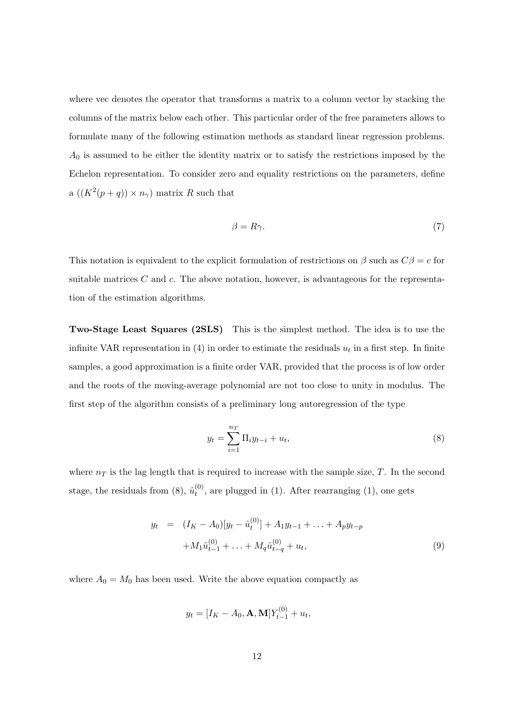where vec denotes the operator that transforms a matrix to a column vector by stacking the columns of the matrix below each other. This particular order of the free parameters allows to formulate many of the following estimation methods as standard linear regression problems.  $A_0$  is assumed to be either the identity matrix or to satisfy the restrictions imposed by the Echelon representation. To consider zero and equality restrictions on the parameters, define a  $((K^2(p+q)) \times n_\gamma)$  matrix R such that

$$
\beta = R\gamma. \tag{7}
$$

This notation is equivalent to the explicit formulation of restrictions on  $\beta$  such as  $C\beta = c$  for suitable matrices  $C$  and  $c$ . The above notation, however, is advantageous for the representation of the estimation algorithms.

Two-Stage Least Squares (2SLS) This is the simplest method. The idea is to use the infinite VAR representation in (4) in order to estimate the residuals  $u_t$  in a first step. In finite samples, a good approximation is a finite order VAR, provided that the process is of low order and the roots of the moving-average polynomial are not too close to unity in modulus. The first step of the algorithm consists of a preliminary long autoregression of the type

$$
y_t = \sum_{i=1}^{n_T} \Pi_i y_{t-i} + u_t,
$$
\n(8)

where  $n<sub>T</sub>$  is the lag length that is required to increase with the sample size, T. In the second stage, the residuals from (8),  $\hat{u}_t^{(0)}$  $t^{(0)}$ , are plugged in (1). After rearranging (1), one gets

$$
y_t = (I_K - A_0)[y_t - \hat{u}_t^{(0)}] + A_1 y_{t-1} + \dots + A_p y_{t-p}
$$
  
+ 
$$
M_1 \hat{u}_{t-1}^{(0)} + \dots + M_q \hat{u}_{t-q}^{(0)} + u_t,
$$
 (9)

where  $A_0 = M_0$  has been used. Write the above equation compactly as

$$
y_t = [I_K - A_0, \mathbf{A}, \mathbf{M}]Y_{t-1}^{(0)} + u_t,
$$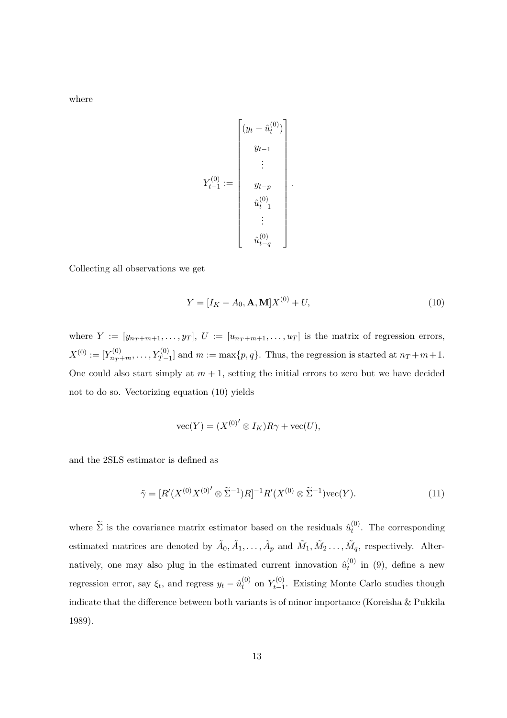where

$$
Y_{t-1}^{(0)} := \begin{bmatrix} (y_t - \hat{u}_t^{(0)}) \\ y_{t-1} \\ \vdots \\ y_{t-p} \\ \hat{u}_{t-1}^{(0)} \\ \vdots \\ \hat{u}_{t-q}^{(0)} \end{bmatrix}.
$$

Collecting all observations we get

$$
Y = [I_K - A_0, \mathbf{A}, \mathbf{M}]X^{(0)} + U,
$$
\n(10)

where  $Y := [y_{n_T+m+1}, \ldots, y_T], U := [u_{n_T+m+1}, \ldots, u_T]$  is the matrix of regression errors,  $X^{(0)} := [Y^{(0)}_{n_T+m}, \ldots, Y^{(0)}_{T-1}]$  and  $m := \max\{p, q\}$ . Thus, the regression is started at  $n_T + m + 1$ . One could also start simply at  $m + 1$ , setting the initial errors to zero but we have decided not to do so. Vectorizing equation (10) yields

$$
\text{vec}(Y) = (X^{(0)'} \otimes I_K)R\gamma + \text{vec}(U),
$$

and the 2SLS estimator is defined as

$$
\tilde{\gamma} = [R'(X^{(0)}X^{(0)'} \otimes \tilde{\Sigma}^{-1})R]^{-1}R'(X^{(0)} \otimes \tilde{\Sigma}^{-1})\text{vec}(Y).
$$
\n(11)

where  $\tilde{\Sigma}$  is the covariance matrix estimator based on the residuals  $\hat{u}_t^{(0)}$  $t^{(0)}$ . The corresponding estimated matrices are denoted by  $\tilde{A}_0, \tilde{A}_1, \ldots, \tilde{A}_p$  and  $\tilde{M}_1, \tilde{M}_2, \ldots, \tilde{M}_q$ , respectively. Alternatively, one may also plug in the estimated current innovation  $\hat{u}_t^{(0)}$  $t_t^{(0)}$  in (9), define a new regression error, say  $\xi_t$ , and regress  $y_t - \hat{u}_t^{(0)}$  $t^{(0)}$  on  $Y_{t-1}^{(0)}$  $t_{t-1}^{(0)}$ . Existing Monte Carlo studies though indicate that the difference between both variants is of minor importance (Koreisha & Pukkila 1989).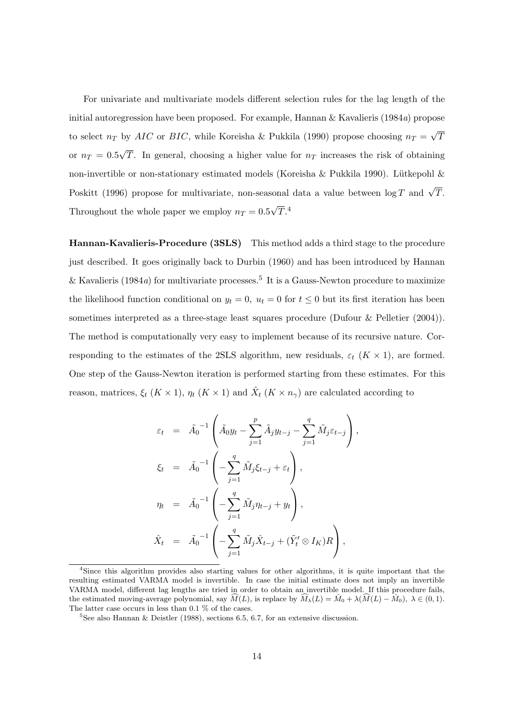For univariate and multivariate models different selection rules for the lag length of the initial autoregression have been proposed. For example, Hannan  $\&$  Kavalieris (1984a) propose to select  $n_T$  by AIC or BIC, while Koreisha & Pukkila (1990) propose choosing  $n_T =$ √ T or  $n_T = 0.5$ √ T. In general, choosing a higher value for  $n<sub>T</sub>$  increases the risk of obtaining non-invertible or non-stationary estimated models (Koreisha & Pukkila 1990). Lütkepohl & Poskitt (1996) propose for multivariate, non-seasonal data a value between  $\log T$  and  $\sqrt{T}$ . Throughout the whole paper we employ  $n_T = 0.5$ √  $\overline{T}$ .<sup>4</sup>

Hannan-Kavalieris-Procedure (3SLS) This method adds a third stage to the procedure just described. It goes originally back to Durbin (1960) and has been introduced by Hannan & Kavalieris (1984a) for multivariate processes.<sup>5</sup> It is a Gauss-Newton procedure to maximize the likelihood function conditional on  $y_t = 0$ ,  $u_t = 0$  for  $t \leq 0$  but its first iteration has been sometimes interpreted as a three-stage least squares procedure (Dufour & Pelletier (2004)). The method is computationally very easy to implement because of its recursive nature. Corresponding to the estimates of the 2SLS algorithm, new residuals,  $\varepsilon_t$  ( $K \times 1$ ), are formed. One step of the Gauss-Newton iteration is performed starting from these estimates. For this reason, matrices,  $\xi_t$   $(K \times 1)$ ,  $\eta_t$   $(K \times 1)$  and  $\hat{X}_t$   $(K \times n_\gamma)$  are calculated according to

$$
\varepsilon_t = \tilde{A}_0^{-1} \left( \tilde{A}_0 y_t - \sum_{j=1}^p \tilde{A}_j y_{t-j} - \sum_{j=1}^q \tilde{M}_j \varepsilon_{t-j} \right),
$$
  
\n
$$
\xi_t = \tilde{A}_0^{-1} \left( -\sum_{j=1}^q \tilde{M}_j \xi_{t-j} + \varepsilon_t \right),
$$
  
\n
$$
\eta_t = \tilde{A}_0^{-1} \left( -\sum_{j=1}^q \tilde{M}_j \eta_{t-j} + y_t \right),
$$
  
\n
$$
\hat{X}_t = \tilde{A}_0^{-1} \left( -\sum_{j=1}^q \tilde{M}_j \hat{X}_{t-j} + (\tilde{Y}_t' \otimes I_K) R \right),
$$

<sup>4</sup>Since this algorithm provides also starting values for other algorithms, it is quite important that the resulting estimated VARMA model is invertible. In case the initial estimate does not imply an invertible VARMA model, different lag lengths are tried in order to obtain an invertible model. If this procedure fails, the estimated moving-average polynomial, say  $\widehat{M}(L)$ , is replace by  $\widehat{M}_{\lambda}(L) = \widehat{M}_0 + \lambda(\widehat{M}(L) - \widehat{M}_0), \ \lambda \in (0, 1)$ . The latter case occurs in less than 0.1 % of the cases.

 ${}^{5}$ See also Hannan & Deistler (1988), sections 6.5, 6.7, for an extensive discussion.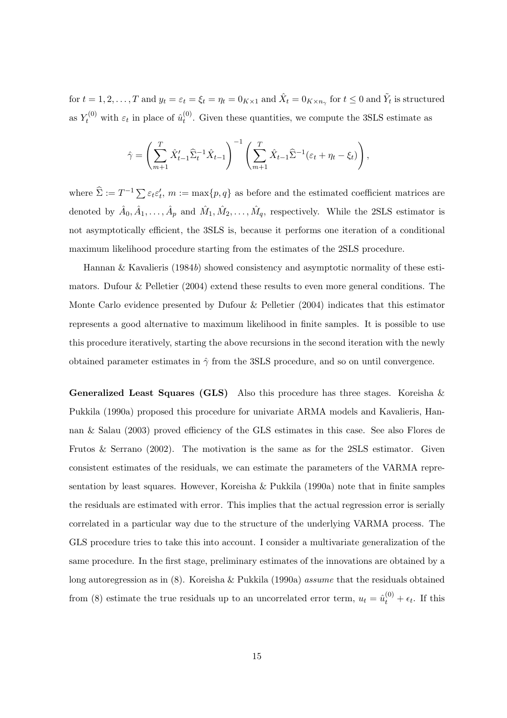for  $t = 1, 2, \ldots, T$  and  $y_t = \varepsilon_t = \xi_t = \eta_t = 0_{K \times 1}$  and  $\hat{X}_t = 0_{K \times n_{\gamma}}$  for  $t \leq 0$  and  $\tilde{Y}_t$  is structured as  $Y_t^{(0)}$  with  $\varepsilon_t$  in place of  $\hat{u}_t^{(0)}$  $t^{(0)}$ . Given these quantities, we compute the 3SLS estimate as

$$
\hat{\gamma} = \left(\sum_{m+1}^T \hat{X}_{t-1}' \hat{\Sigma}_t^{-1} \hat{X}_{t-1}\right)^{-1} \left(\sum_{m+1}^T \hat{X}_{t-1} \hat{\Sigma}^{-1}(\varepsilon_t + \eta_t - \xi_t)\right),\,
$$

where  $\hat{\Sigma} := T^{-1} \sum \varepsilon_t \varepsilon'_t$ ,  $m := \max\{p, q\}$  as before and the estimated coefficient matrices are denoted by  $\hat{A}_0, \hat{A}_1, \ldots, \hat{A}_p$  and  $\hat{M}_1, \hat{M}_2, \ldots, \hat{M}_q$ , respectively. While the 2SLS estimator is not asymptotically efficient, the 3SLS is, because it performs one iteration of a conditional maximum likelihood procedure starting from the estimates of the 2SLS procedure.

Hannan & Kavalieris (1984b) showed consistency and asymptotic normality of these estimators. Dufour & Pelletier (2004) extend these results to even more general conditions. The Monte Carlo evidence presented by Dufour & Pelletier (2004) indicates that this estimator represents a good alternative to maximum likelihood in finite samples. It is possible to use this procedure iteratively, starting the above recursions in the second iteration with the newly obtained parameter estimates in  $\hat{\gamma}$  from the 3SLS procedure, and so on until convergence.

**Generalized Least Squares (GLS)** Also this procedure has three stages. Koreisha  $\&$ Pukkila (1990a) proposed this procedure for univariate ARMA models and Kavalieris, Hannan & Salau (2003) proved efficiency of the GLS estimates in this case. See also Flores de Frutos & Serrano (2002). The motivation is the same as for the 2SLS estimator. Given consistent estimates of the residuals, we can estimate the parameters of the VARMA representation by least squares. However, Koreisha & Pukkila (1990a) note that in finite samples the residuals are estimated with error. This implies that the actual regression error is serially correlated in a particular way due to the structure of the underlying VARMA process. The GLS procedure tries to take this into account. I consider a multivariate generalization of the same procedure. In the first stage, preliminary estimates of the innovations are obtained by a long autoregression as in  $(8)$ . Koreisha & Pukkila  $(1990a)$  *assume* that the residuals obtained from (8) estimate the true residuals up to an uncorrelated error term,  $u_t = \hat{u}_t^{(0)} + \epsilon_t$ . If this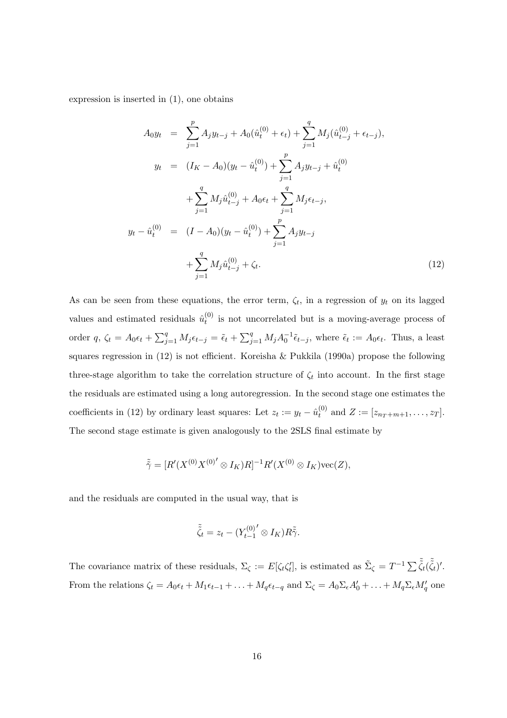expression is inserted in (1), one obtains

$$
A_0 y_t = \sum_{j=1}^p A_j y_{t-j} + A_0(\hat{u}_t^{(0)} + \epsilon_t) + \sum_{j=1}^q M_j(\hat{u}_{t-j}^{(0)} + \epsilon_{t-j}),
$$
  
\n
$$
y_t = (I_K - A_0)(y_t - \hat{u}_t^{(0)}) + \sum_{j=1}^p A_j y_{t-j} + \hat{u}_t^{(0)}
$$
  
\n
$$
+ \sum_{j=1}^q M_j \hat{u}_{t-j}^{(0)} + A_0 \epsilon_t + \sum_{j=1}^q M_j \epsilon_{t-j},
$$
  
\n
$$
y_t - \hat{u}_t^{(0)} = (I - A_0)(y_t - \hat{u}_t^{(0)}) + \sum_{j=1}^p A_j y_{t-j}
$$
  
\n
$$
+ \sum_{j=1}^q M_j \hat{u}_{t-j}^{(0)} + \zeta_t.
$$
  
\n(12)

As can be seen from these equations, the error term,  $\zeta_t$ , in a regression of  $y_t$  on its lagged values and estimated residuals  $\hat{u}_t^{(0)}$  $t_t^{(0)}$  is not uncorrelated but is a moving-average process of order q,  $\zeta_t = A_0 \epsilon_t + \sum_{i=1}^{q}$  $_{j=1}^{q} M_j \epsilon_{t-j} = \tilde{\epsilon}_t +$  $\overline{\nabla}q$  $_{j=1}^{q} M_j A_0^{-1} \tilde{\epsilon}_{t-j}$ , where  $\tilde{\epsilon}_t := A_0 \epsilon_t$ . Thus, a least squares regression in (12) is not efficient. Koreisha & Pukkila (1990a) propose the following three-stage algorithm to take the correlation structure of  $\zeta_t$  into account. In the first stage the residuals are estimated using a long autoregression. In the second stage one estimates the coefficients in (12) by ordinary least squares: Let  $z_t := y_t - \hat{u}_t^{(0)}$  $t_t^{(0)}$  and  $Z := [z_{n_T+m+1}, \ldots, z_T].$ The second stage estimate is given analogously to the 2SLS final estimate by

$$
\tilde{\tilde{\gamma}} = [R'(X^{(0)}X^{(0)'} \otimes I_K)R]^{-1}R'(X^{(0)} \otimes I_K)\text{vec}(Z),
$$

and the residuals are computed in the usual way, that is

$$
\tilde{\tilde{\zeta}}_t = z_t - \left(Y_{t-1}^{(0)'} \otimes I_K\right) R \tilde{\tilde{\gamma}}.
$$

The covariance matrix of these residuals,  $\Sigma_{\zeta} := E[\zeta_t \zeta'_t]$ , is estimated as  $\tilde{\Sigma}_{\zeta} = T^{-1} \sum \tilde{\zeta}_t(\tilde{\zeta}_t)'$ . From the relations  $\zeta_t = A_0 \epsilon_t + M_1 \epsilon_{t-1} + \ldots + M_q \epsilon_{t-q}$  and  $\Sigma_\zeta = A_0 \Sigma_\epsilon A'_0 + \ldots + M_q \Sigma_\epsilon M'_q$  one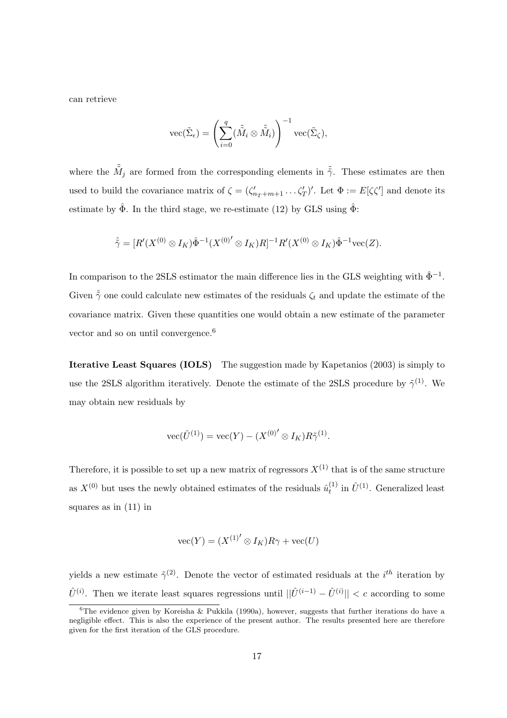can retrieve

$$
\operatorname{vec}(\tilde{\Sigma}_{\epsilon}) = \left(\sum_{i=0}^{q} (\tilde{\tilde{M}}_i \otimes \tilde{\tilde{M}}_i)\right)^{-1} \operatorname{vec}(\tilde{\Sigma}_{\zeta}),
$$

where the  $\tilde{M}_j$  are formed from the corresponding elements in  $\tilde{\tilde{\gamma}}$ . These estimates are then used to build the covariance matrix of  $\zeta = (\zeta'_{n_T+m+1} \dots \zeta'_T)'$ . Let  $\Phi := E[\zeta \zeta']$  and denote its estimate by  $\hat{\Phi}$ . In the third stage, we re-estimate (12) by GLS using  $\hat{\Phi}$ :

$$
\hat{\tilde{\gamma}} = [R'(X^{(0)} \otimes I_K) \hat{\Phi}^{-1}(X^{(0)'} \otimes I_K)R]^{-1}R'(X^{(0)} \otimes I_K) \hat{\Phi}^{-1} \text{vec}(Z).
$$

In comparison to the 2SLS estimator the main difference lies in the GLS weighting with  $\hat{\Phi}^{-1}$ . Given  $\hat{\tilde{\gamma}}$  one could calculate new estimates of the residuals  $\zeta_t$  and update the estimate of the covariance matrix. Given these quantities one would obtain a new estimate of the parameter vector and so on until convergence.<sup>6</sup>

Iterative Least Squares (IOLS) The suggestion made by Kapetanios (2003) is simply to use the 2SLS algorithm iteratively. Denote the estimate of the 2SLS procedure by  $\tilde{\gamma}^{(1)}$ . We may obtain new residuals by

$$
\text{vec}(\hat{U}^{(1)}) = \text{vec}(Y) - (X^{(0)'} \otimes I_K)R\tilde{\gamma}^{(1)}.
$$

Therefore, it is possible to set up a new matrix of regressors  $X^{(1)}$  that is of the same structure as  $X^{(0)}$  but uses the newly obtained estimates of the residuals  $\hat{u}_t^{(1)}$  $\hat{U}^{(1)}$  in  $\hat{U}^{(1)}$ . Generalized least squares as in (11) in

$$
\text{vec}(Y) = (X^{(1)'} \otimes I_K)R\gamma + \text{vec}(U)
$$

yields a new estimate  $\tilde{\gamma}^{(2)}$ . Denote the vector of estimated residuals at the *i*<sup>th</sup> iteration by  $\hat{U}^{(i)}$ . Then we iterate least squares regressions until  $||\hat{U}^{(i-1)} - \hat{U}^{(i)}|| < c$  according to some

<sup>&</sup>lt;sup>6</sup>The evidence given by Koreisha & Pukkila (1990a), however, suggests that further iterations do have a negligible effect. This is also the experience of the present author. The results presented here are therefore given for the first iteration of the GLS procedure.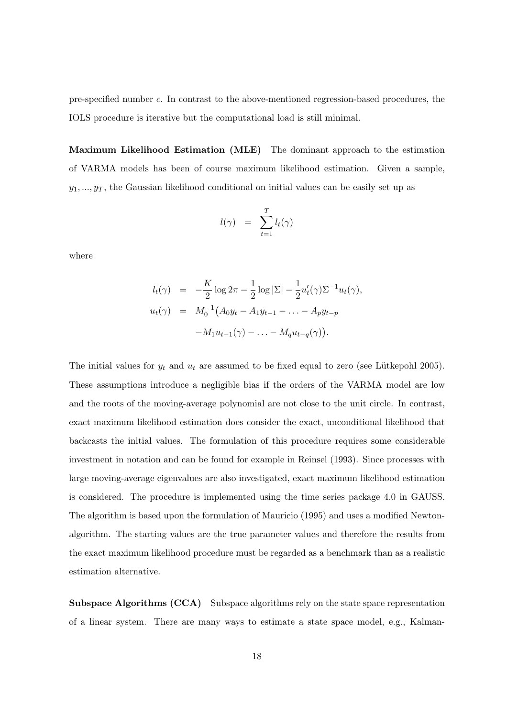pre-specified number c. In contrast to the above-mentioned regression-based procedures, the IOLS procedure is iterative but the computational load is still minimal.

Maximum Likelihood Estimation (MLE) The dominant approach to the estimation of VARMA models has been of course maximum likelihood estimation. Given a sample,  $y_1, \ldots, y_T$ , the Gaussian likelihood conditional on initial values can be easily set up as

$$
l(\gamma) = \sum_{t=1}^{T} l_t(\gamma)
$$

where

$$
l_t(\gamma) = -\frac{K}{2}\log 2\pi - \frac{1}{2}\log |\Sigma| - \frac{1}{2}u'_t(\gamma)\Sigma^{-1}u_t(\gamma),
$$
  

$$
u_t(\gamma) = M_0^{-1}(A_0y_t - A_1y_{t-1} - \dots - A_py_{t-p})
$$
  

$$
-M_1u_{t-1}(\gamma) - \dots - M_qu_{t-q}(\gamma)).
$$

The initial values for  $y_t$  and  $u_t$  are assumed to be fixed equal to zero (see Lütkepohl 2005). These assumptions introduce a negligible bias if the orders of the VARMA model are low and the roots of the moving-average polynomial are not close to the unit circle. In contrast, exact maximum likelihood estimation does consider the exact, unconditional likelihood that backcasts the initial values. The formulation of this procedure requires some considerable investment in notation and can be found for example in Reinsel (1993). Since processes with large moving-average eigenvalues are also investigated, exact maximum likelihood estimation is considered. The procedure is implemented using the time series package 4.0 in GAUSS. The algorithm is based upon the formulation of Mauricio (1995) and uses a modified Newtonalgorithm. The starting values are the true parameter values and therefore the results from the exact maximum likelihood procedure must be regarded as a benchmark than as a realistic estimation alternative.

Subspace Algorithms (CCA) Subspace algorithms rely on the state space representation of a linear system. There are many ways to estimate a state space model, e.g., Kalman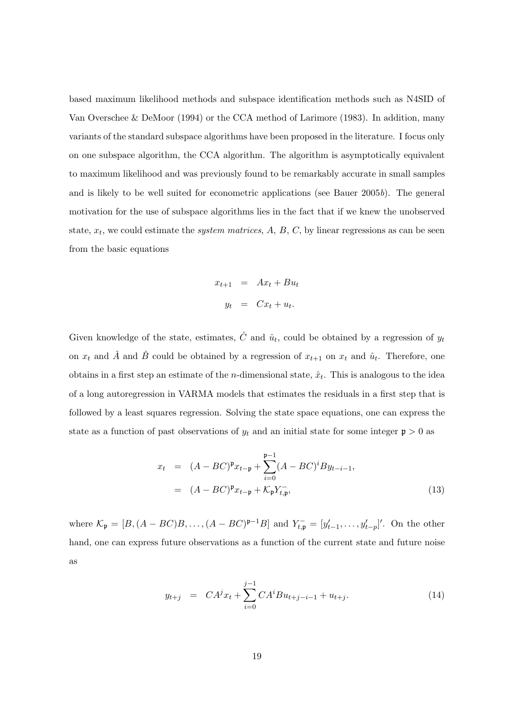based maximum likelihood methods and subspace identification methods such as N4SID of Van Overschee & DeMoor (1994) or the CCA method of Larimore (1983). In addition, many variants of the standard subspace algorithms have been proposed in the literature. I focus only on one subspace algorithm, the CCA algorithm. The algorithm is asymptotically equivalent to maximum likelihood and was previously found to be remarkably accurate in small samples and is likely to be well suited for econometric applications (see Bauer 2005b). The general motivation for the use of subspace algorithms lies in the fact that if we knew the unobserved state,  $x_t$ , we could estimate the *system matrices*,  $A$ ,  $B$ ,  $C$ , by linear regressions as can be seen from the basic equations

$$
x_{t+1} = Ax_t + Bu_t
$$
  

$$
y_t = Cx_t + u_t.
$$

Given knowledge of the state, estimates,  $\hat{C}$  and  $\hat{u}_t$ , could be obtained by a regression of  $y_t$ on  $x_t$  and  $\hat{A}$  and  $\hat{B}$  could be obtained by a regression of  $x_{t+1}$  on  $x_t$  and  $\hat{u}_t$ . Therefore, one obtains in a first step an estimate of the *n*-dimensional state,  $\hat{x}_t$ . This is analogous to the idea of a long autoregression in VARMA models that estimates the residuals in a first step that is followed by a least squares regression. Solving the state space equations, one can express the state as a function of past observations of  $y_t$  and an initial state for some integer  $\mathfrak{p} > 0$  as

$$
x_{t} = (A - BC)^{\mathfrak{p}} x_{t-\mathfrak{p}} + \sum_{i=0}^{\mathfrak{p}-1} (A - BC)^{i} B y_{t-i-1},
$$
  

$$
= (A - BC)^{\mathfrak{p}} x_{t-\mathfrak{p}} + \mathcal{K}_{\mathfrak{p}} Y_{t,\mathfrak{p}}^{-},
$$
(13)

where  $\mathcal{K}_{\mathfrak{p}} = [B, (A - BC)B, \ldots, (A - BC)^{\mathfrak{p}-1}B]$  and  $Y_{t,\mathfrak{p}}^- = [y'_{t-1}, \ldots, y'_{t-p}]'$ . On the other hand, one can express future observations as a function of the current state and future noise as

$$
y_{t+j} = CA^{j}x_{t} + \sum_{i=0}^{j-1} CA^{i}Bu_{t+j-i-1} + u_{t+j}.
$$
 (14)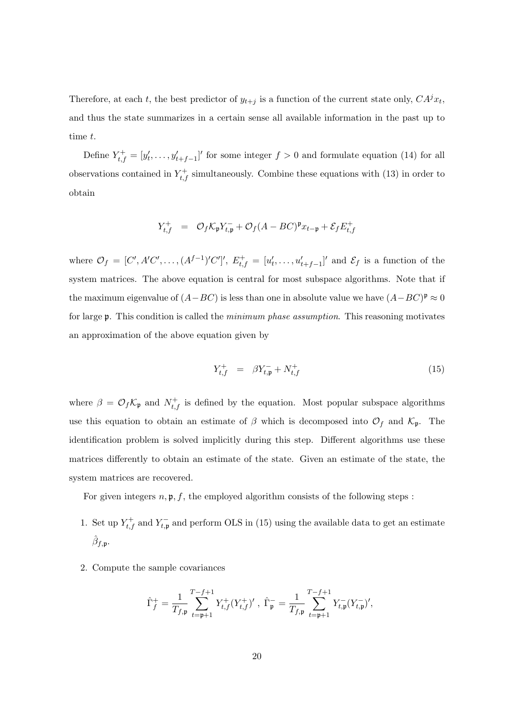Therefore, at each t, the best predictor of  $y_{t+j}$  is a function of the current state only,  $CA^{j}x_{t}$ , and thus the state summarizes in a certain sense all available information in the past up to time t.

Define  $Y_{t,f}^{+} = [y'_t, \ldots, y'_{t+f-1}]'$  for some integer  $f > 0$  and formulate equation (14) for all observations contained in  $Y_{t,f}^+$  simultaneously. Combine these equations with (13) in order to obtain

$$
Y_{t,f}^+ \quad = \quad \mathcal{O}_f \mathcal{K}_{\mathfrak{p}} Y_{t,\mathfrak{p}}^- + \mathcal{O}_f (A - BC)^{\mathfrak{p}} x_{t-\mathfrak{p}} + \mathcal{E}_f E_{t,f}^+
$$

where  $\mathcal{O}_f = [C', A'C', \ldots, (A^{f-1})'C']', E^+_{t,f} = [u'_t, \ldots, u'_{t+f-1}]'$  and  $\mathcal{E}_f$  is a function of the system matrices. The above equation is central for most subspace algorithms. Note that if the maximum eigenvalue of  $(A - BC)$  is less than one in absolute value we have  $(A - BC)^{\mathfrak{p}} \approx 0$ for large p. This condition is called the *minimum phase assumption*. This reasoning motivates an approximation of the above equation given by

$$
Y_{t,f}^{+} = \beta Y_{t,\mathfrak{p}}^{-} + N_{t,f}^{+} \tag{15}
$$

where  $\beta = \mathcal{O}_f \mathcal{K}_{\mathfrak{p}}$  and  $N_{t,f}^+$  is defined by the equation. Most popular subspace algorithms use this equation to obtain an estimate of  $\beta$  which is decomposed into  $\mathcal{O}_f$  and  $\mathcal{K}_{\mathfrak{p}}$ . The identification problem is solved implicitly during this step. Different algorithms use these matrices differently to obtain an estimate of the state. Given an estimate of the state, the system matrices are recovered.

For given integers  $n, \mathfrak{p}, f$ , the employed algorithm consists of the following steps :

- 1. Set up  $Y_{t,f}^+$  and  $Y_{t,p}^-$  and perform OLS in (15) using the available data to get an estimate  $\hat{\beta}_{f, \mathfrak{p}}.$
- 2. Compute the sample covariances

$$
\hat{\Gamma}_f^+ = \frac{1}{T_{f,\mathfrak{p}}} \sum_{t=\mathfrak{p}+1}^{T-f+1} Y_{t,f}^+(Y_{t,f}^+)'\;,\;\hat{\Gamma}_\mathfrak{p}^- = \frac{1}{T_{f,\mathfrak{p}}} \sum_{t=\mathfrak{p}+1}^{T-f+1} Y_{t,\mathfrak{p}}^-(Y_{t,\mathfrak{p}}^-)',
$$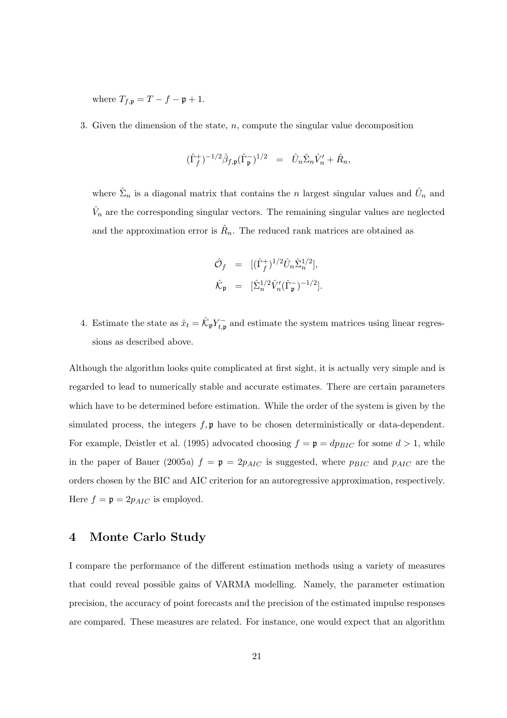where  $T_{f,\mathfrak{p}} = T - f - \mathfrak{p} + 1$ .

3. Given the dimension of the state,  $n$ , compute the singular value decomposition

$$
(\hat{\Gamma}_f^+)^{-1/2} \hat{\beta}_{f, \mathfrak{p}} (\hat{\Gamma}_\mathfrak{p}^-)^{1/2} = \hat{U}_n \hat{\Sigma}_n \hat{V}_n' + \hat{R}_n,
$$

where  $\hat{\Sigma}_n$  is a diagonal matrix that contains the *n* largest singular values and  $\hat{U}_n$  and  $\hat{V}_n$  are the corresponding singular vectors. The remaining singular values are neglected and the approximation error is  $\hat{R}_n$ . The reduced rank matrices are obtained as

$$
\hat{\mathcal{O}}_f = [(\hat{\Gamma}_f^+)^{1/2} \hat{U}_n \hat{\Sigma}_n^{1/2}],
$$
  

$$
\hat{\mathcal{K}}_{\mathfrak{p}} = [\hat{\Sigma}_n^{1/2} \hat{V}_n'(\hat{\Gamma}_{\mathfrak{p}}^-)^{-1/2}].
$$

4. Estimate the state as  $\hat{x}_t = \hat{K}_{\mathfrak{p}} Y_{t,\mathfrak{p}}^-$  and estimate the system matrices using linear regressions as described above.

Although the algorithm looks quite complicated at first sight, it is actually very simple and is regarded to lead to numerically stable and accurate estimates. There are certain parameters which have to be determined before estimation. While the order of the system is given by the simulated process, the integers  $f, \mathfrak{p}$  have to be chosen deterministically or data-dependent. For example, Deistler et al. (1995) advocated choosing  $f = \mathfrak{p} = dp_{BIC}$  for some  $d > 1$ , while in the paper of Bauer (2005a)  $f = \mathfrak{p} = 2p_{AIC}$  is suggested, where  $p_{BIC}$  and  $p_{AIC}$  are the orders chosen by the BIC and AIC criterion for an autoregressive approximation, respectively. Here  $f = \mathfrak{p} = 2p_{AIC}$  is employed.

## 4 Monte Carlo Study

I compare the performance of the different estimation methods using a variety of measures that could reveal possible gains of VARMA modelling. Namely, the parameter estimation precision, the accuracy of point forecasts and the precision of the estimated impulse responses are compared. These measures are related. For instance, one would expect that an algorithm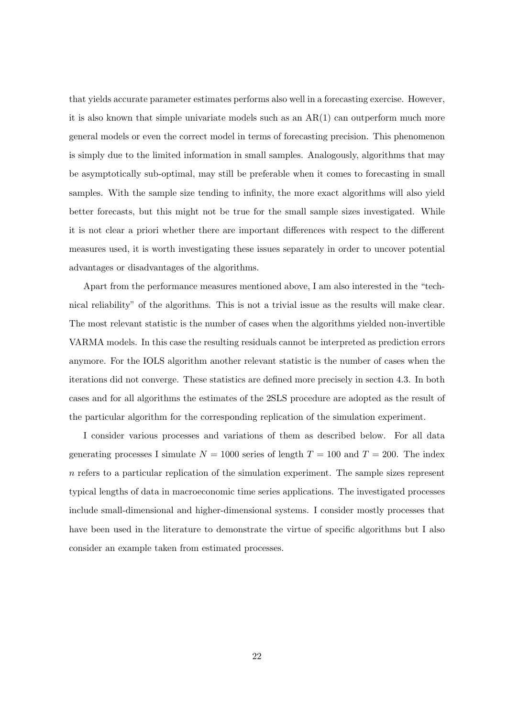that yields accurate parameter estimates performs also well in a forecasting exercise. However, it is also known that simple univariate models such as an  $AR(1)$  can outperform much more general models or even the correct model in terms of forecasting precision. This phenomenon is simply due to the limited information in small samples. Analogously, algorithms that may be asymptotically sub-optimal, may still be preferable when it comes to forecasting in small samples. With the sample size tending to infinity, the more exact algorithms will also yield better forecasts, but this might not be true for the small sample sizes investigated. While it is not clear a priori whether there are important differences with respect to the different measures used, it is worth investigating these issues separately in order to uncover potential advantages or disadvantages of the algorithms.

Apart from the performance measures mentioned above, I am also interested in the "technical reliability" of the algorithms. This is not a trivial issue as the results will make clear. The most relevant statistic is the number of cases when the algorithms yielded non-invertible VARMA models. In this case the resulting residuals cannot be interpreted as prediction errors anymore. For the IOLS algorithm another relevant statistic is the number of cases when the iterations did not converge. These statistics are defined more precisely in section 4.3. In both cases and for all algorithms the estimates of the 2SLS procedure are adopted as the result of the particular algorithm for the corresponding replication of the simulation experiment.

I consider various processes and variations of them as described below. For all data generating processes I simulate  $N = 1000$  series of length  $T = 100$  and  $T = 200$ . The index  $n$  refers to a particular replication of the simulation experiment. The sample sizes represent typical lengths of data in macroeconomic time series applications. The investigated processes include small-dimensional and higher-dimensional systems. I consider mostly processes that have been used in the literature to demonstrate the virtue of specific algorithms but I also consider an example taken from estimated processes.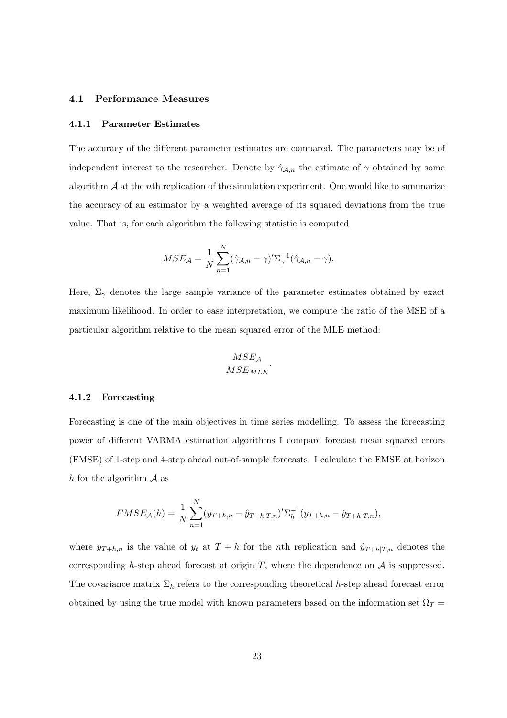#### 4.1 Performance Measures

#### 4.1.1 Parameter Estimates

The accuracy of the different parameter estimates are compared. The parameters may be of independent interest to the researcher. Denote by  $\hat{\gamma}_{A,n}$  the estimate of  $\gamma$  obtained by some algorithm  $A$  at the nth replication of the simulation experiment. One would like to summarize the accuracy of an estimator by a weighted average of its squared deviations from the true value. That is, for each algorithm the following statistic is computed

$$
MSE_{\mathcal{A}} = \frac{1}{N} \sum_{n=1}^{N} (\hat{\gamma}_{\mathcal{A},n} - \gamma)' \Sigma_{\gamma}^{-1} (\hat{\gamma}_{\mathcal{A},n} - \gamma).
$$

Here,  $\Sigma_{\gamma}$  denotes the large sample variance of the parameter estimates obtained by exact maximum likelihood. In order to ease interpretation, we compute the ratio of the MSE of a particular algorithm relative to the mean squared error of the MLE method:

$$
\frac{MSE_{\mathcal{A}}}{MSE_{MLE}}.
$$

#### 4.1.2 Forecasting

Forecasting is one of the main objectives in time series modelling. To assess the forecasting power of different VARMA estimation algorithms I compare forecast mean squared errors (FMSE) of 1-step and 4-step ahead out-of-sample forecasts. I calculate the FMSE at horizon h for the algorithm  $\mathcal A$  as

$$
FMSE_{\mathcal{A}}(h) = \frac{1}{N} \sum_{n=1}^{N} (y_{T+h,n} - \hat{y}_{T+h|T,n})' \Sigma_{h}^{-1} (y_{T+h,n} - \hat{y}_{T+h|T,n}),
$$

where  $y_{T+h,n}$  is the value of  $y_t$  at  $T+h$  for the nth replication and  $\hat{y}_{T+h|T,n}$  denotes the corresponding h-step ahead forecast at origin  $T$ , where the dependence on  $A$  is suppressed. The covariance matrix  $\Sigma_h$  refers to the corresponding theoretical h-step ahead forecast error obtained by using the true model with known parameters based on the information set  $\Omega_T =$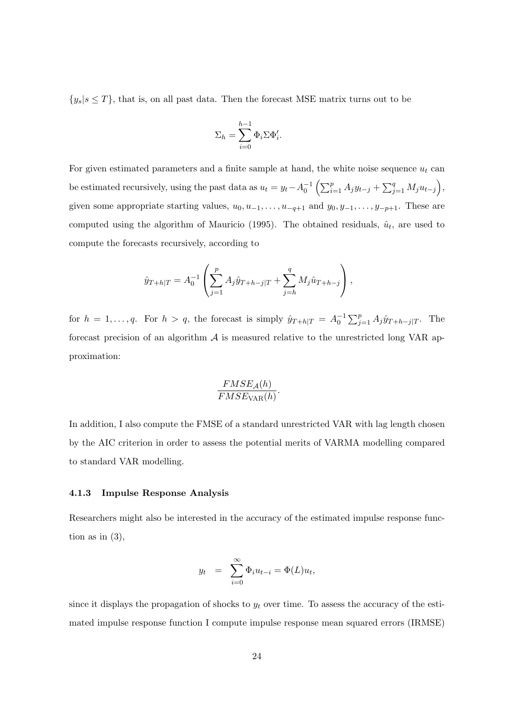$\{y_s | s \leq T\}$ , that is, on all past data. Then the forecast MSE matrix turns out to be

$$
\Sigma_h = \sum_{i=0}^{h-1} \Phi_i \Sigma \Phi'_i.
$$

For given estimated parameters and a finite sample at hand, the white noise sequence  $u_t$  can be estimated recursively, using the past data as  $u_t = y_t - A_0^{-1}$  $\sqrt{p}$  $_{i=1}^{p}$  A<sub>j</sub>y<sub>t−j</sub> +  $\Box q$  $_{j=1}^{q} M_j u_{t-j}$ ´ , given some appropriate starting values,  $u_0, u_{-1}, \ldots, u_{-q+1}$  and  $y_0, y_{-1}, \ldots, y_{-p+1}$ . These are computed using the algorithm of Mauricio (1995). The obtained residuals,  $\hat{u}_t$ , are used to compute the forecasts recursively, according to

$$
\hat{y}_{T+h|T} = A_0^{-1} \left( \sum_{j=1}^p A_j \hat{y}_{T+h-j|T} + \sum_{j=h}^q M_j \hat{u}_{T+h-j} \right),
$$

for  $h = 1, \ldots, q$ . For  $h > q$ , the forecast is simply  $\hat{y}_{T+h|T} = A_0^{-1}$  $\bigtriangledown p$  $j=1 \ A_j \hat{y}_{T+h-j|T}$ . The forecast precision of an algorithm  $A$  is measured relative to the unrestricted long VAR approximation:

$$
\frac{FMSE_{\mathcal{A}}(h)}{FMSE_{\text{VAR}}(h)}.
$$

In addition, I also compute the FMSE of a standard unrestricted VAR with lag length chosen by the AIC criterion in order to assess the potential merits of VARMA modelling compared to standard VAR modelling.

#### 4.1.3 Impulse Response Analysis

Researchers might also be interested in the accuracy of the estimated impulse response function as in  $(3)$ ,

$$
y_t = \sum_{i=0}^{\infty} \Phi_i u_{t-i} = \Phi(L) u_t,
$$

since it displays the propagation of shocks to  $y_t$  over time. To assess the accuracy of the estimated impulse response function I compute impulse response mean squared errors (IRMSE)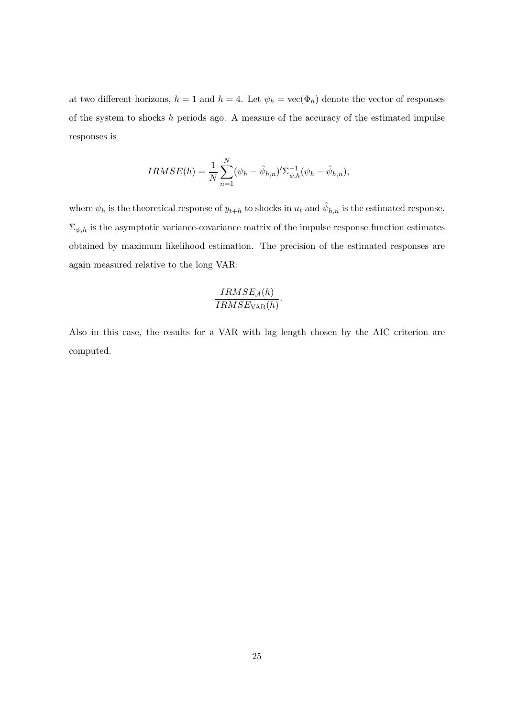at two different horizons,  $h = 1$  and  $h = 4$ . Let  $\psi_h = \text{vec}(\Phi_h)$  denote the vector of responses of the system to shocks h periods ago. A measure of the accuracy of the estimated impulse responses is

$$
IRMSE(h) = \frac{1}{N} \sum_{n=1}^{N} (\psi_h - \hat{\psi}_{h,n})' \Sigma_{\psi,h}^{-1} (\psi_h - \hat{\psi}_{h,n}),
$$

where  $\psi_h$  is the theoretical response of  $y_{t+h}$  to shocks in  $u_t$  and  $\hat{\psi}_{h,n}$  is the estimated response.  $\Sigma_{\psi,h}$  is the asymptotic variance-covariance matrix of the impulse response function estimates obtained by maximum likelihood estimation. The precision of the estimated responses are again measured relative to the long VAR:

$$
\frac{IRMSE_{\mathcal{A}}(h)}{IRMSE_{\text{VAR}}(h)}.
$$

Also in this case, the results for a VAR with lag length chosen by the AIC criterion are computed.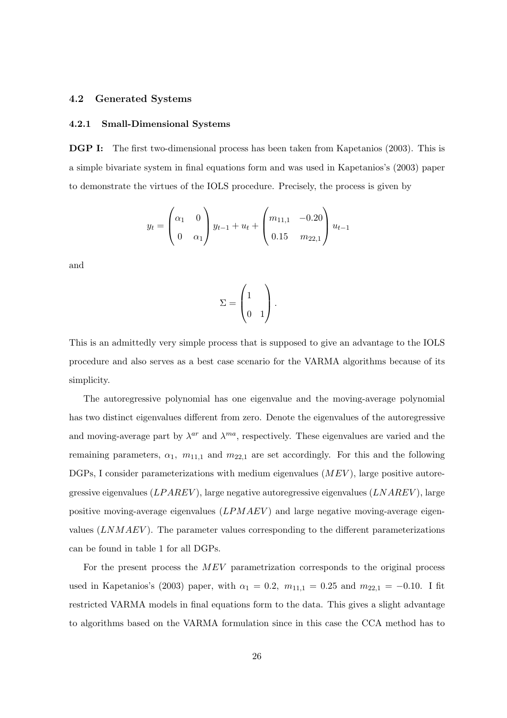#### 4.2 Generated Systems

#### 4.2.1 Small-Dimensional Systems

DGP I: The first two-dimensional process has been taken from Kapetanios (2003). This is a simple bivariate system in final equations form and was used in Kapetanios's (2003) paper to demonstrate the virtues of the IOLS procedure. Precisely, the process is given by

$$
y_t = \begin{pmatrix} \alpha_1 & 0\\ 0 & \alpha_1 \end{pmatrix} y_{t-1} + u_t + \begin{pmatrix} m_{11,1} & -0.20\\ 0.15 & m_{22,1} \end{pmatrix} u_{t-1}
$$

and

$$
\Sigma = \begin{pmatrix} 1 \\ 0 & 1 \end{pmatrix}.
$$

This is an admittedly very simple process that is supposed to give an advantage to the IOLS procedure and also serves as a best case scenario for the VARMA algorithms because of its simplicity.

The autoregressive polynomial has one eigenvalue and the moving-average polynomial has two distinct eigenvalues different from zero. Denote the eigenvalues of the autoregressive and moving-average part by  $\lambda^{ar}$  and  $\lambda^{ma}$ , respectively. These eigenvalues are varied and the remaining parameters,  $\alpha_1$ ,  $m_{11,1}$  and  $m_{22,1}$  are set accordingly. For this and the following DGPs, I consider parameterizations with medium eigenvalues  $(MEV)$ , large positive autoregressive eigenvalues  $(LPAREV)$ , large negative autoregressive eigenvalues  $(LNAREV)$ , large positive moving-average eigenvalues  $(LPMAEV)$  and large negative moving-average eigenvalues  $(LNMAEV)$ . The parameter values corresponding to the different parameterizations can be found in table 1 for all DGPs.

For the present process the MEV parametrization corresponds to the original process used in Kapetanios's (2003) paper, with  $\alpha_1 = 0.2$ ,  $m_{11,1} = 0.25$  and  $m_{22,1} = -0.10$ . I fit restricted VARMA models in final equations form to the data. This gives a slight advantage to algorithms based on the VARMA formulation since in this case the CCA method has to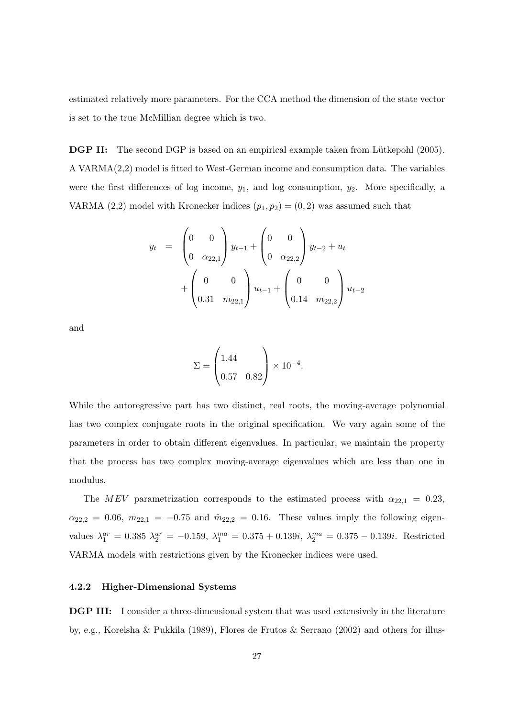estimated relatively more parameters. For the CCA method the dimension of the state vector is set to the true McMillian degree which is two.

**DGP II:** The second DGP is based on an empirical example taken from Lütkepohl (2005). A VARMA(2,2) model is fitted to West-German income and consumption data. The variables were the first differences of log income,  $y_1$ , and log consumption,  $y_2$ . More specifically, a VARMA (2,2) model with Kronecker indices  $(p_1, p_2) = (0, 2)$  was assumed such that

$$
y_{t} = \begin{pmatrix} 0 & 0 \\ 0 & \alpha_{22,1} \end{pmatrix} y_{t-1} + \begin{pmatrix} 0 & 0 \\ 0 & \alpha_{22,2} \end{pmatrix} y_{t-2} + u_{t} + \begin{pmatrix} 0 & 0 \\ 0.31 & m_{22,1} \end{pmatrix} u_{t-1} + \begin{pmatrix} 0 & 0 \\ 0.14 & m_{22,2} \end{pmatrix} u_{t-2}
$$

and

$$
\Sigma = \begin{pmatrix} 1.44 \\ 0.57 & 0.82 \end{pmatrix} \times 10^{-4}.
$$

While the autoregressive part has two distinct, real roots, the moving-average polynomial has two complex conjugate roots in the original specification. We vary again some of the parameters in order to obtain different eigenvalues. In particular, we maintain the property that the process has two complex moving-average eigenvalues which are less than one in modulus.

The MEV parametrization corresponds to the estimated process with  $\alpha_{22,1} = 0.23$ ,  $\alpha_{22,2} = 0.06, m_{22,1} = -0.75$  and  $\hat{m}_{22,2} = 0.16$ . These values imply the following eigenvalues  $\lambda_1^{ar} = 0.385$   $\lambda_2^{ar} = -0.159$ ,  $\lambda_1^{ma} = 0.375 + 0.139i$ ,  $\lambda_2^{ma} = 0.375 - 0.139i$ . Restricted VARMA models with restrictions given by the Kronecker indices were used.

#### 4.2.2 Higher-Dimensional Systems

DGP III: I consider a three-dimensional system that was used extensively in the literature by, e.g., Koreisha & Pukkila (1989), Flores de Frutos & Serrano (2002) and others for illus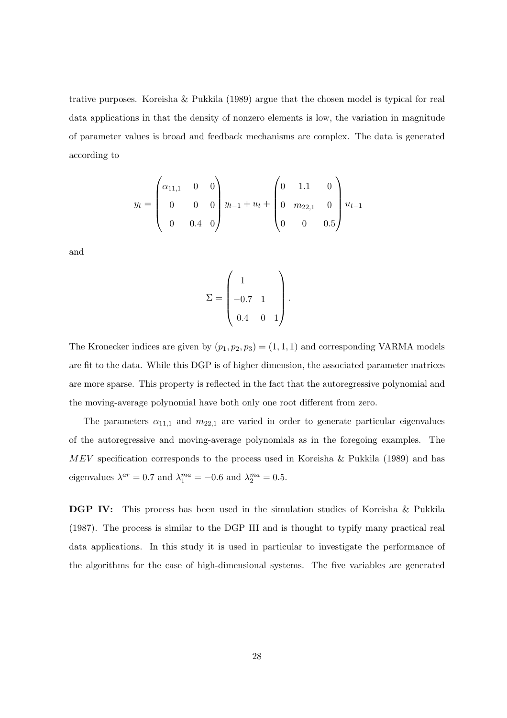trative purposes. Koreisha & Pukkila (1989) argue that the chosen model is typical for real data applications in that the density of nonzero elements is low, the variation in magnitude of parameter values is broad and feedback mechanisms are complex. The data is generated according to

$$
y_t = \begin{pmatrix} \alpha_{11,1} & 0 & 0 \\ 0 & 0 & 0 \\ 0 & 0.4 & 0 \end{pmatrix} y_{t-1} + u_t + \begin{pmatrix} 0 & 1.1 & 0 \\ 0 & m_{22,1} & 0 \\ 0 & 0 & 0.5 \end{pmatrix} u_{t-1}
$$

and

$$
\Sigma = \begin{pmatrix} 1 & & \\ -0.7 & 1 & \\ 0.4 & 0 & 1 \end{pmatrix}.
$$

The Kronecker indices are given by  $(p_1, p_2, p_3) = (1, 1, 1)$  and corresponding VARMA models are fit to the data. While this DGP is of higher dimension, the associated parameter matrices are more sparse. This property is reflected in the fact that the autoregressive polynomial and the moving-average polynomial have both only one root different from zero.

The parameters  $\alpha_{11,1}$  and  $m_{22,1}$  are varied in order to generate particular eigenvalues of the autoregressive and moving-average polynomials as in the foregoing examples. The MEV specification corresponds to the process used in Koreisha & Pukkila (1989) and has eigenvalues  $\lambda^{ar} = 0.7$  and  $\lambda_1^{ma} = -0.6$  and  $\lambda_2^{ma} = 0.5$ .

DGP IV: This process has been used in the simulation studies of Koreisha & Pukkila (1987). The process is similar to the DGP III and is thought to typify many practical real data applications. In this study it is used in particular to investigate the performance of the algorithms for the case of high-dimensional systems. The five variables are generated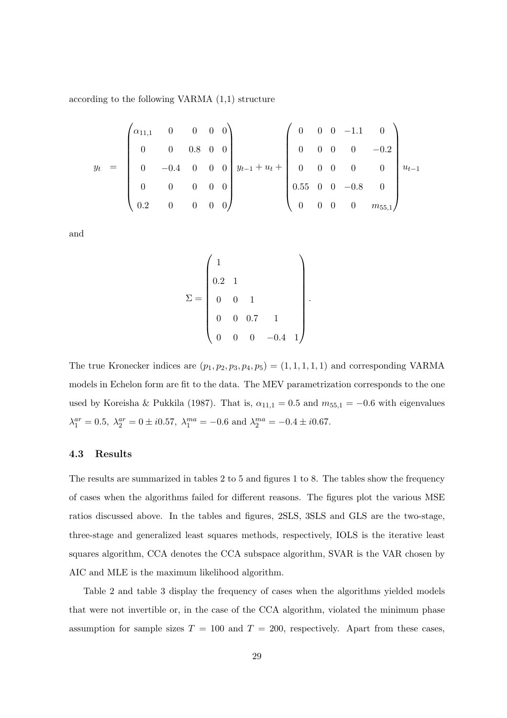according to the following VARMA (1,1) structure

$$
y_{t} = \begin{pmatrix} \alpha_{11,1} & 0 & 0 & 0 & 0 \\ 0 & 0 & 0.8 & 0 & 0 \\ 0 & -0.4 & 0 & 0 & 0 \\ 0 & 0 & 0 & 0 & 0 \\ 0.2 & 0 & 0 & 0 & 0 \end{pmatrix} y_{t-1} + u_{t} + \begin{pmatrix} 0 & 0 & 0 & -1.1 & 0 \\ 0 & 0 & 0 & 0 & -0.2 \\ 0 & 0 & 0 & 0 & 0 \\ 0.55 & 0 & 0 & -0.8 & 0 \\ 0 & 0 & 0 & 0 & m_{55,1} \end{pmatrix} u_{t-1}
$$

and

$$
\Sigma = \begin{pmatrix} 1 & & & & \\ 0.2 & 1 & & & \\ 0 & 0 & 1 & & \\ 0 & 0 & 0.7 & 1 & \\ 0 & 0 & 0 & -0.4 & 1 \end{pmatrix}.
$$

The true Kronecker indices are  $(p_1, p_2, p_3, p_4, p_5) = (1, 1, 1, 1, 1)$  and corresponding VARMA models in Echelon form are fit to the data. The MEV parametrization corresponds to the one used by Koreisha & Pukkila (1987). That is,  $\alpha_{11,1} = 0.5$  and  $m_{55,1} = -0.6$  with eigenvalues  $\lambda_1^{ar} = 0.5$ ,  $\lambda_2^{ar} = 0 \pm i0.57$ ,  $\lambda_1^{ma} = -0.6$  and  $\lambda_2^{ma} = -0.4 \pm i0.67$ .

#### 4.3 Results

The results are summarized in tables 2 to 5 and figures 1 to 8. The tables show the frequency of cases when the algorithms failed for different reasons. The figures plot the various MSE ratios discussed above. In the tables and figures, 2SLS, 3SLS and GLS are the two-stage, three-stage and generalized least squares methods, respectively, IOLS is the iterative least squares algorithm, CCA denotes the CCA subspace algorithm, SVAR is the VAR chosen by AIC and MLE is the maximum likelihood algorithm.

Table 2 and table 3 display the frequency of cases when the algorithms yielded models that were not invertible or, in the case of the CCA algorithm, violated the minimum phase assumption for sample sizes  $T = 100$  and  $T = 200$ , respectively. Apart from these cases,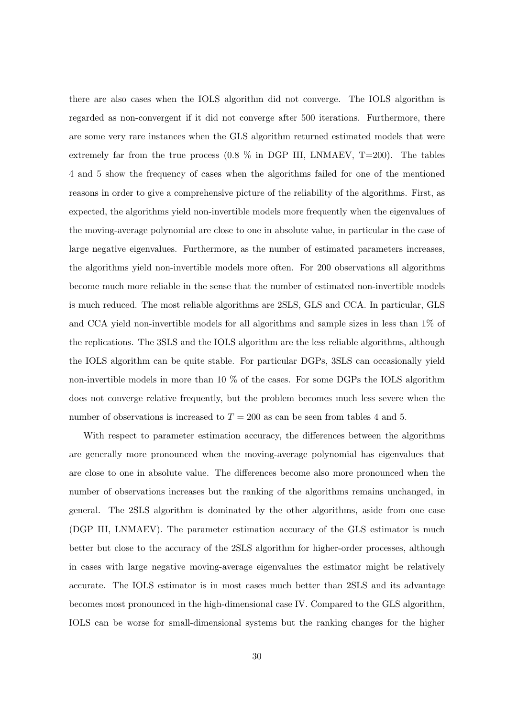there are also cases when the IOLS algorithm did not converge. The IOLS algorithm is regarded as non-convergent if it did not converge after 500 iterations. Furthermore, there are some very rare instances when the GLS algorithm returned estimated models that were extremely far from the true process  $(0.8\%$  in DGP III, LNMAEV, T=200). The tables 4 and 5 show the frequency of cases when the algorithms failed for one of the mentioned reasons in order to give a comprehensive picture of the reliability of the algorithms. First, as expected, the algorithms yield non-invertible models more frequently when the eigenvalues of the moving-average polynomial are close to one in absolute value, in particular in the case of large negative eigenvalues. Furthermore, as the number of estimated parameters increases, the algorithms yield non-invertible models more often. For 200 observations all algorithms become much more reliable in the sense that the number of estimated non-invertible models is much reduced. The most reliable algorithms are 2SLS, GLS and CCA. In particular, GLS and CCA yield non-invertible models for all algorithms and sample sizes in less than 1% of the replications. The 3SLS and the IOLS algorithm are the less reliable algorithms, although the IOLS algorithm can be quite stable. For particular DGPs, 3SLS can occasionally yield non-invertible models in more than 10  $\%$  of the cases. For some DGPs the IOLS algorithm does not converge relative frequently, but the problem becomes much less severe when the number of observations is increased to  $T = 200$  as can be seen from tables 4 and 5.

With respect to parameter estimation accuracy, the differences between the algorithms are generally more pronounced when the moving-average polynomial has eigenvalues that are close to one in absolute value. The differences become also more pronounced when the number of observations increases but the ranking of the algorithms remains unchanged, in general. The 2SLS algorithm is dominated by the other algorithms, aside from one case (DGP III, LNMAEV). The parameter estimation accuracy of the GLS estimator is much better but close to the accuracy of the 2SLS algorithm for higher-order processes, although in cases with large negative moving-average eigenvalues the estimator might be relatively accurate. The IOLS estimator is in most cases much better than 2SLS and its advantage becomes most pronounced in the high-dimensional case IV. Compared to the GLS algorithm, IOLS can be worse for small-dimensional systems but the ranking changes for the higher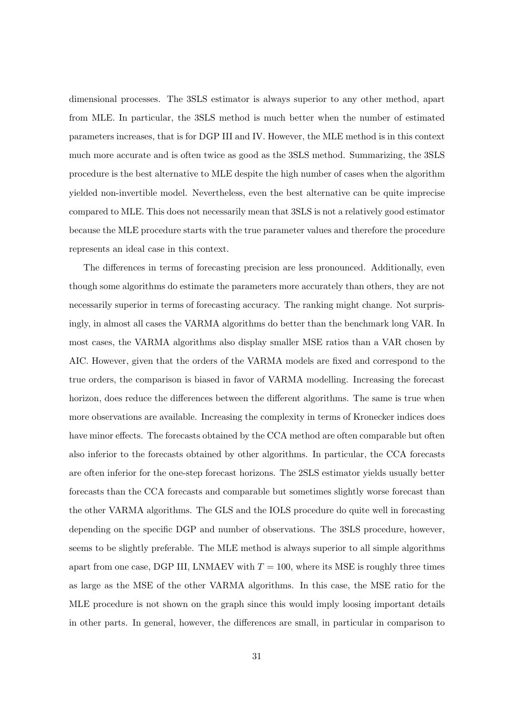dimensional processes. The 3SLS estimator is always superior to any other method, apart from MLE. In particular, the 3SLS method is much better when the number of estimated parameters increases, that is for DGP III and IV. However, the MLE method is in this context much more accurate and is often twice as good as the 3SLS method. Summarizing, the 3SLS procedure is the best alternative to MLE despite the high number of cases when the algorithm yielded non-invertible model. Nevertheless, even the best alternative can be quite imprecise compared to MLE. This does not necessarily mean that 3SLS is not a relatively good estimator because the MLE procedure starts with the true parameter values and therefore the procedure represents an ideal case in this context.

The differences in terms of forecasting precision are less pronounced. Additionally, even though some algorithms do estimate the parameters more accurately than others, they are not necessarily superior in terms of forecasting accuracy. The ranking might change. Not surprisingly, in almost all cases the VARMA algorithms do better than the benchmark long VAR. In most cases, the VARMA algorithms also display smaller MSE ratios than a VAR chosen by AIC. However, given that the orders of the VARMA models are fixed and correspond to the true orders, the comparison is biased in favor of VARMA modelling. Increasing the forecast horizon, does reduce the differences between the different algorithms. The same is true when more observations are available. Increasing the complexity in terms of Kronecker indices does have minor effects. The forecasts obtained by the CCA method are often comparable but often also inferior to the forecasts obtained by other algorithms. In particular, the CCA forecasts are often inferior for the one-step forecast horizons. The 2SLS estimator yields usually better forecasts than the CCA forecasts and comparable but sometimes slightly worse forecast than the other VARMA algorithms. The GLS and the IOLS procedure do quite well in forecasting depending on the specific DGP and number of observations. The 3SLS procedure, however, seems to be slightly preferable. The MLE method is always superior to all simple algorithms apart from one case, DGP III, LNMAEV with  $T = 100$ , where its MSE is roughly three times as large as the MSE of the other VARMA algorithms. In this case, the MSE ratio for the MLE procedure is not shown on the graph since this would imply loosing important details in other parts. In general, however, the differences are small, in particular in comparison to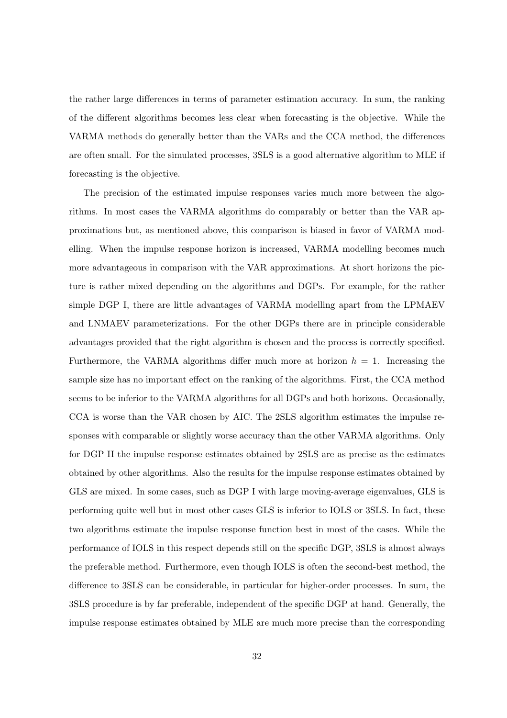the rather large differences in terms of parameter estimation accuracy. In sum, the ranking of the different algorithms becomes less clear when forecasting is the objective. While the VARMA methods do generally better than the VARs and the CCA method, the differences are often small. For the simulated processes, 3SLS is a good alternative algorithm to MLE if forecasting is the objective.

The precision of the estimated impulse responses varies much more between the algorithms. In most cases the VARMA algorithms do comparably or better than the VAR approximations but, as mentioned above, this comparison is biased in favor of VARMA modelling. When the impulse response horizon is increased, VARMA modelling becomes much more advantageous in comparison with the VAR approximations. At short horizons the picture is rather mixed depending on the algorithms and DGPs. For example, for the rather simple DGP I, there are little advantages of VARMA modelling apart from the LPMAEV and LNMAEV parameterizations. For the other DGPs there are in principle considerable advantages provided that the right algorithm is chosen and the process is correctly specified. Furthermore, the VARMA algorithms differ much more at horizon  $h = 1$ . Increasing the sample size has no important effect on the ranking of the algorithms. First, the CCA method seems to be inferior to the VARMA algorithms for all DGPs and both horizons. Occasionally, CCA is worse than the VAR chosen by AIC. The 2SLS algorithm estimates the impulse responses with comparable or slightly worse accuracy than the other VARMA algorithms. Only for DGP II the impulse response estimates obtained by 2SLS are as precise as the estimates obtained by other algorithms. Also the results for the impulse response estimates obtained by GLS are mixed. In some cases, such as DGP I with large moving-average eigenvalues, GLS is performing quite well but in most other cases GLS is inferior to IOLS or 3SLS. In fact, these two algorithms estimate the impulse response function best in most of the cases. While the performance of IOLS in this respect depends still on the specific DGP, 3SLS is almost always the preferable method. Furthermore, even though IOLS is often the second-best method, the difference to 3SLS can be considerable, in particular for higher-order processes. In sum, the 3SLS procedure is by far preferable, independent of the specific DGP at hand. Generally, the impulse response estimates obtained by MLE are much more precise than the corresponding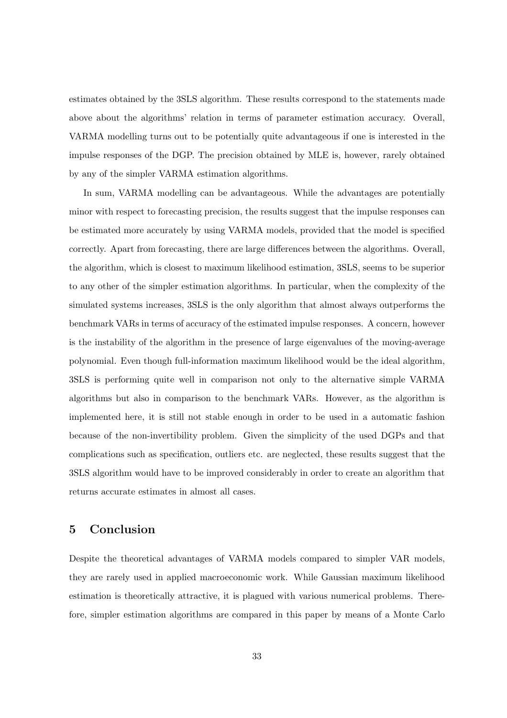estimates obtained by the 3SLS algorithm. These results correspond to the statements made above about the algorithms' relation in terms of parameter estimation accuracy. Overall, VARMA modelling turns out to be potentially quite advantageous if one is interested in the impulse responses of the DGP. The precision obtained by MLE is, however, rarely obtained by any of the simpler VARMA estimation algorithms.

In sum, VARMA modelling can be advantageous. While the advantages are potentially minor with respect to forecasting precision, the results suggest that the impulse responses can be estimated more accurately by using VARMA models, provided that the model is specified correctly. Apart from forecasting, there are large differences between the algorithms. Overall, the algorithm, which is closest to maximum likelihood estimation, 3SLS, seems to be superior to any other of the simpler estimation algorithms. In particular, when the complexity of the simulated systems increases, 3SLS is the only algorithm that almost always outperforms the benchmark VARs in terms of accuracy of the estimated impulse responses. A concern, however is the instability of the algorithm in the presence of large eigenvalues of the moving-average polynomial. Even though full-information maximum likelihood would be the ideal algorithm, 3SLS is performing quite well in comparison not only to the alternative simple VARMA algorithms but also in comparison to the benchmark VARs. However, as the algorithm is implemented here, it is still not stable enough in order to be used in a automatic fashion because of the non-invertibility problem. Given the simplicity of the used DGPs and that complications such as specification, outliers etc. are neglected, these results suggest that the 3SLS algorithm would have to be improved considerably in order to create an algorithm that returns accurate estimates in almost all cases.

## 5 Conclusion

Despite the theoretical advantages of VARMA models compared to simpler VAR models, they are rarely used in applied macroeconomic work. While Gaussian maximum likelihood estimation is theoretically attractive, it is plagued with various numerical problems. Therefore, simpler estimation algorithms are compared in this paper by means of a Monte Carlo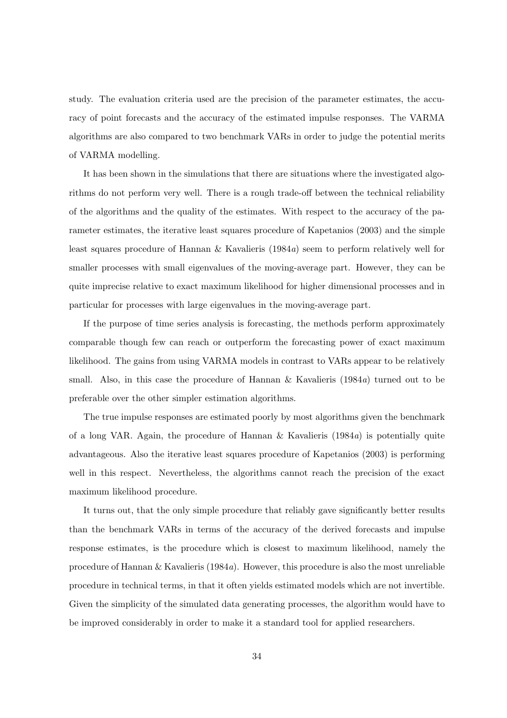study. The evaluation criteria used are the precision of the parameter estimates, the accuracy of point forecasts and the accuracy of the estimated impulse responses. The VARMA algorithms are also compared to two benchmark VARs in order to judge the potential merits of VARMA modelling.

It has been shown in the simulations that there are situations where the investigated algorithms do not perform very well. There is a rough trade-off between the technical reliability of the algorithms and the quality of the estimates. With respect to the accuracy of the parameter estimates, the iterative least squares procedure of Kapetanios (2003) and the simple least squares procedure of Hannan  $\&$  Kavalieris (1984a) seem to perform relatively well for smaller processes with small eigenvalues of the moving-average part. However, they can be quite imprecise relative to exact maximum likelihood for higher dimensional processes and in particular for processes with large eigenvalues in the moving-average part.

If the purpose of time series analysis is forecasting, the methods perform approximately comparable though few can reach or outperform the forecasting power of exact maximum likelihood. The gains from using VARMA models in contrast to VARs appear to be relatively small. Also, in this case the procedure of Hannan  $\&$  Kavalieris (1984a) turned out to be preferable over the other simpler estimation algorithms.

The true impulse responses are estimated poorly by most algorithms given the benchmark of a long VAR. Again, the procedure of Hannan  $\&$  Kavalieris (1984a) is potentially quite advantageous. Also the iterative least squares procedure of Kapetanios (2003) is performing well in this respect. Nevertheless, the algorithms cannot reach the precision of the exact maximum likelihood procedure.

It turns out, that the only simple procedure that reliably gave significantly better results than the benchmark VARs in terms of the accuracy of the derived forecasts and impulse response estimates, is the procedure which is closest to maximum likelihood, namely the procedure of Hannan & Kavalieris (1984a). However, this procedure is also the most unreliable procedure in technical terms, in that it often yields estimated models which are not invertible. Given the simplicity of the simulated data generating processes, the algorithm would have to be improved considerably in order to make it a standard tool for applied researchers.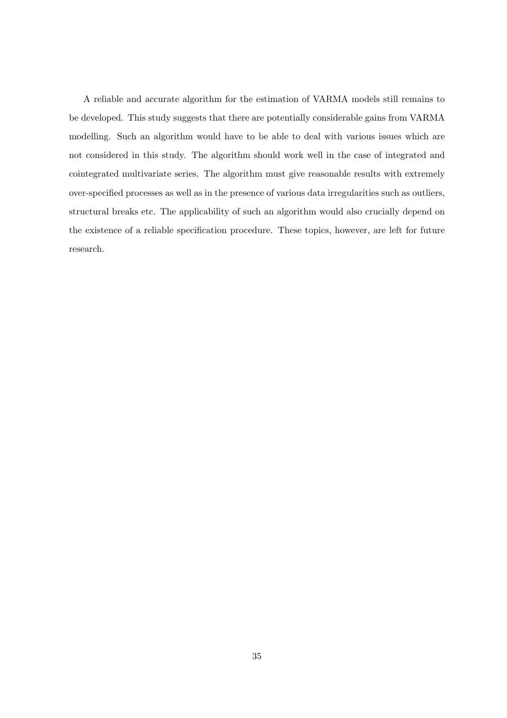A reliable and accurate algorithm for the estimation of VARMA models still remains to be developed. This study suggests that there are potentially considerable gains from VARMA modelling. Such an algorithm would have to be able to deal with various issues which are not considered in this study. The algorithm should work well in the case of integrated and cointegrated multivariate series. The algorithm must give reasonable results with extremely over-specified processes as well as in the presence of various data irregularities such as outliers, structural breaks etc. The applicability of such an algorithm would also crucially depend on the existence of a reliable specification procedure. These topics, however, are left for future research.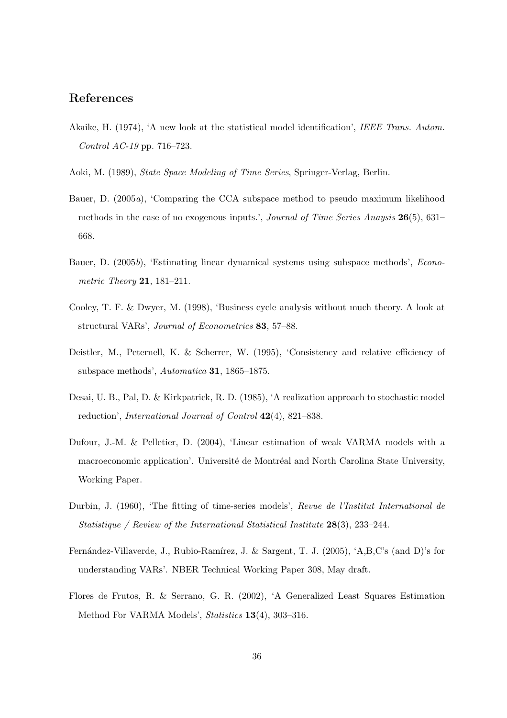## References

- Akaike, H. (1974), 'A new look at the statistical model identification', IEEE Trans. Autom. Control AC-19 pp. 716–723.
- Aoki, M. (1989), State Space Modeling of Time Series, Springer-Verlag, Berlin.
- Bauer, D. (2005a), 'Comparing the CCA subspace method to pseudo maximum likelihood methods in the case of no exogenous inputs.', Journal of Time Series Anaysis 26(5), 631– 668.
- Bauer, D. (2005b), 'Estimating linear dynamical systems using subspace methods', Econometric Theory **21**, 181–211.
- Cooley, T. F. & Dwyer, M. (1998), 'Business cycle analysis without much theory. A look at structural VARs', Journal of Econometrics 83, 57–88.
- Deistler, M., Peternell, K. & Scherrer, W. (1995), 'Consistency and relative efficiency of subspace methods', Automatica 31, 1865–1875.
- Desai, U. B., Pal, D. & Kirkpatrick, R. D. (1985), 'A realization approach to stochastic model reduction', International Journal of Control 42(4), 821–838.
- Dufour, J.-M. & Pelletier, D. (2004), 'Linear estimation of weak VARMA models with a macroeconomic application'. Université de Montréal and North Carolina State University, Working Paper.
- Durbin, J. (1960), 'The fitting of time-series models', Revue de l'Institut International de Statistique / Review of the International Statistical Institute 28(3), 233–244.
- Fernández-Villaverde, J., Rubio-Ramírez, J. & Sargent, T. J. (2005), 'A,B,C's (and D)'s for understanding VARs'. NBER Technical Working Paper 308, May draft.
- Flores de Frutos, R. & Serrano, G. R. (2002), 'A Generalized Least Squares Estimation Method For VARMA Models', Statistics 13(4), 303–316.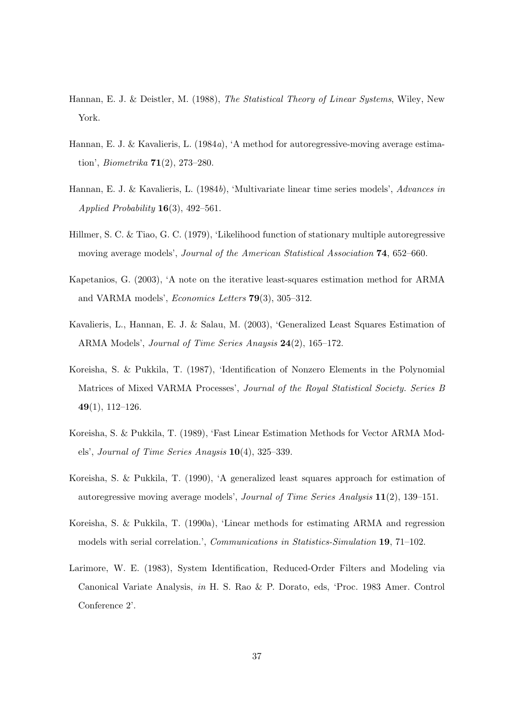- Hannan, E. J. & Deistler, M. (1988), The Statistical Theory of Linear Systems, Wiley, New York.
- Hannan, E. J. & Kavalieris, L. (1984a), 'A method for autoregressive-moving average estimation', Biometrika 71(2), 273–280.
- Hannan, E. J. & Kavalieris, L. (1984b), 'Multivariate linear time series models', Advances in Applied Probability  $16(3)$ , 492–561.
- Hillmer, S. C. & Tiao, G. C. (1979), 'Likelihood function of stationary multiple autoregressive moving average models', Journal of the American Statistical Association 74, 652–660.
- Kapetanios, G. (2003), 'A note on the iterative least-squares estimation method for ARMA and VARMA models', Economics Letters 79(3), 305–312.
- Kavalieris, L., Hannan, E. J. & Salau, M. (2003), 'Generalized Least Squares Estimation of ARMA Models', Journal of Time Series Anaysis 24(2), 165–172.
- Koreisha, S. & Pukkila, T. (1987), 'Identification of Nonzero Elements in the Polynomial Matrices of Mixed VARMA Processes', Journal of the Royal Statistical Society. Series B 49(1), 112–126.
- Koreisha, S. & Pukkila, T. (1989), 'Fast Linear Estimation Methods for Vector ARMA Models', Journal of Time Series Anaysis 10(4), 325–339.
- Koreisha, S. & Pukkila, T. (1990), 'A generalized least squares approach for estimation of autoregressive moving average models', Journal of Time Series Analysis 11(2), 139–151.
- Koreisha, S. & Pukkila, T. (1990a), 'Linear methods for estimating ARMA and regression models with serial correlation.', Communications in Statistics-Simulation 19, 71–102.
- Larimore, W. E. (1983), System Identification, Reduced-Order Filters and Modeling via Canonical Variate Analysis, in H. S. Rao & P. Dorato, eds, 'Proc. 1983 Amer. Control Conference 2'.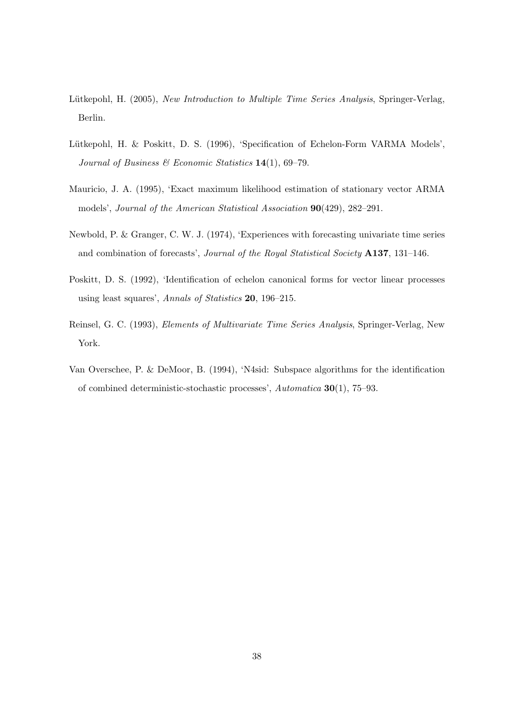- Lütkepohl, H. (2005), New Introduction to Multiple Time Series Analysis, Springer-Verlag, Berlin.
- Lütkepohl, H. & Poskitt, D. S. (1996), 'Specification of Echelon-Form VARMA Models', Journal of Business & Economic Statistics  $14(1)$ , 69-79.
- Mauricio, J. A. (1995), 'Exact maximum likelihood estimation of stationary vector ARMA models', Journal of the American Statistical Association 90(429), 282–291.
- Newbold, P. & Granger, C. W. J. (1974), 'Experiences with forecasting univariate time series and combination of forecasts', Journal of the Royal Statistical Society A137, 131–146.
- Poskitt, D. S. (1992), 'Identification of echelon canonical forms for vector linear processes using least squares', Annals of Statistics 20, 196–215.
- Reinsel, G. C. (1993), Elements of Multivariate Time Series Analysis, Springer-Verlag, New York.
- Van Overschee, P. & DeMoor, B. (1994), 'N4sid: Subspace algorithms for the identification of combined deterministic-stochastic processes', Automatica 30(1), 75–93.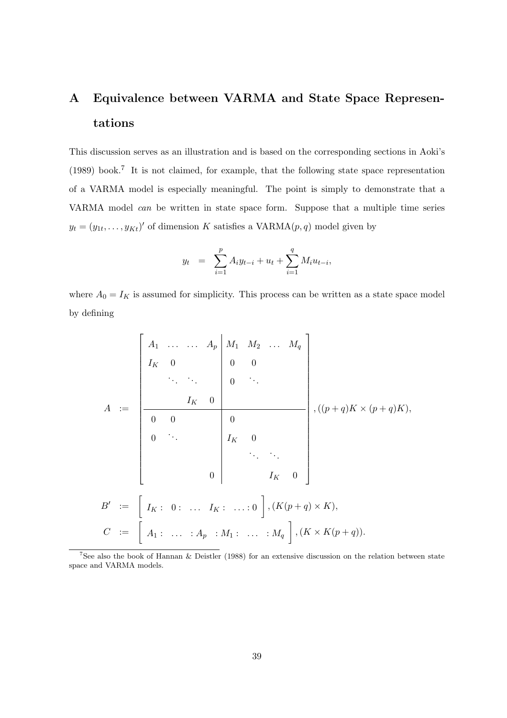## A Equivalence between VARMA and State Space Representations

This discussion serves as an illustration and is based on the corresponding sections in Aoki's (1989) book.<sup>7</sup> It is not claimed, for example, that the following state space representation of a VARMA model is especially meaningful. The point is simply to demonstrate that a VARMA model can be written in state space form. Suppose that a multiple time series  $y_t = (y_{1t}, \ldots, y_{Kt})'$  of dimension K satisfies a VARMA $(p, q)$  model given by

$$
y_t = \sum_{i=1}^p A_i y_{t-i} + u_t + \sum_{i=1}^q M_i u_{t-i},
$$

where  $A_0 = I_K$  is assumed for simplicity. This process can be written as a state space model by defining

$$
A := \begin{bmatrix} A_1 & \dots & A_p & M_1 & M_2 & \dots & M_q \\ I_K & 0 & & & 0 & 0 \\ & \ddots & \ddots & & & 0 & \ddots \\ & & & I_K & 0 & & & \\ \hline 0 & 0 & & & 0 & & \\ 0 & \ddots & & & & I_K & 0 \\ & & & & & & I_K & 0 \end{bmatrix}, ((p+q)K \times (p+q)K),
$$

$$
B' := \begin{bmatrix} I_K & 0 & \dots & I_K & \dots & 0 \end{bmatrix}, (K(p+q) \times K),
$$

$$
C := \begin{bmatrix} A_1 & \dots & A_p & A_1 & \dots & A_q \end{bmatrix}, (K \times K(p+q)).
$$

<sup>7</sup>See also the book of Hannan & Deistler (1988) for an extensive discussion on the relation between state space and VARMA models.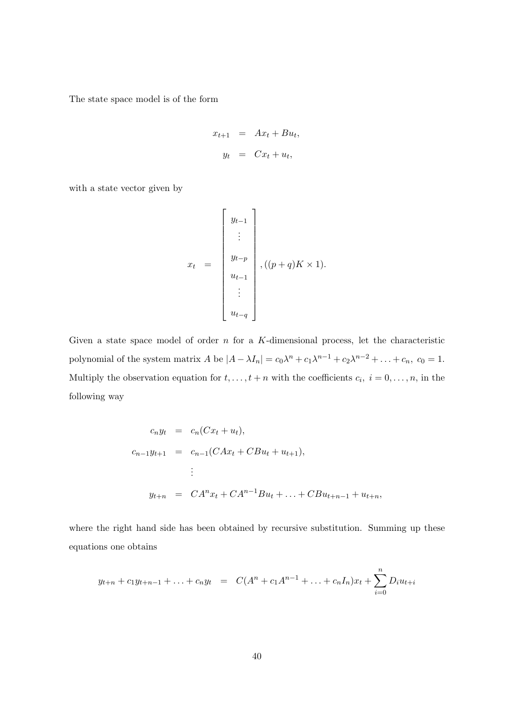The state space model is of the form

$$
x_{t+1} = Ax_t + Bu_t,
$$
  

$$
y_t = Cx_t + u_t,
$$

with a state vector given by

$$
x_{t} = \begin{bmatrix} y_{t-1} \\ \vdots \\ y_{t-p} \\ u_{t-1} \\ \vdots \\ u_{t-q} \end{bmatrix}, ((p+q)K \times 1).
$$

Given a state space model of order  $n$  for a K-dimensional process, let the characteristic polynomial of the system matrix A be  $|A - \lambda I_n| = c_0 \lambda^n + c_1 \lambda^{n-1} + c_2 \lambda^{n-2} + \ldots + c_n$ ,  $c_0 = 1$ . Multiply the observation equation for  $t, \ldots, t + n$  with the coefficients  $c_i, i = 0, \ldots, n$ , in the following way

$$
c_n y_t = c_n (Cx_t + u_t),
$$
  
\n
$$
c_{n-1} y_{t+1} = c_{n-1} (CAx_t + CBu_t + u_{t+1}),
$$
  
\n
$$
\vdots
$$
  
\n
$$
y_{t+n} = CA^n x_t + CA^{n-1}Bu_t + ... + CBu_{t+n-1} + u_{t+n},
$$

where the right hand side has been obtained by recursive substitution. Summing up these equations one obtains

$$
y_{t+n} + c_1 y_{t+n-1} + \ldots + c_n y_t = C(A^n + c_1 A^{n-1} + \ldots + c_n I_n) x_t + \sum_{i=0}^n D_i u_{t+i}
$$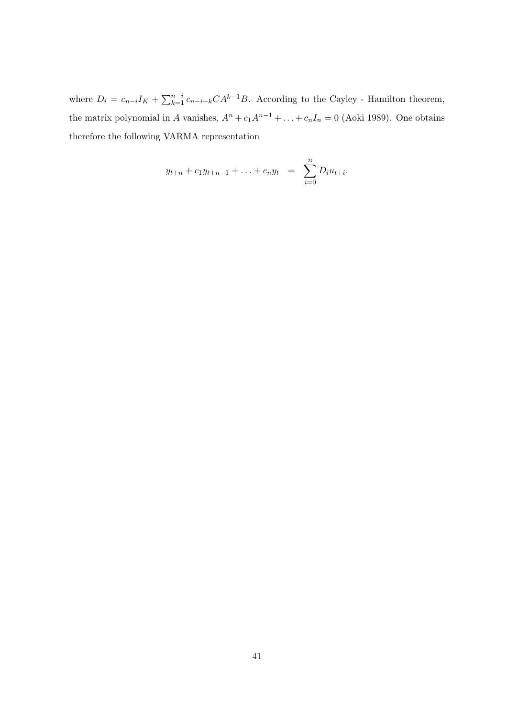where  $D_i = c_{n-i}I_K + \sum_{k=1}^{n-i} c_{n-i-k}CA^{k-1}B$ . According to the Cayley - Hamilton theorem, the matrix polynomial in A vanishes,  $A^n + c_1 A^{n-1} + \ldots + c_n I_n = 0$  (Aoki 1989). One obtains therefore the following VARMA representation

$$
y_{t+n} + c_1 y_{t+n-1} + \ldots + c_n y_t = \sum_{i=0}^n D_i u_{t+i}.
$$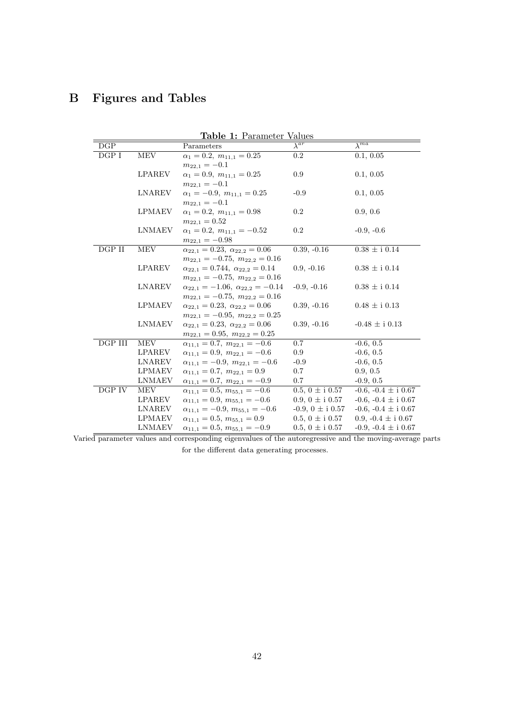## B Figures and Tables

| Table 1: Parameter Values |               |                                                  |                           |                             |  |  |
|---------------------------|---------------|--------------------------------------------------|---------------------------|-----------------------------|--|--|
| DGP                       |               | Parameters                                       | $\lambda^{\overline{ar}}$ | $\overline{\lambda^{ma}}$   |  |  |
| DGPI                      | MEV           | $\alpha_1 = 0.2, m_{11,1} = 0.25$                | $\rm 0.2$                 | 0.1, 0.05                   |  |  |
|                           |               | $m_{22,1}=-0.1$                                  |                           |                             |  |  |
|                           | <b>LPAREV</b> | $\alpha_1 = 0.9, m_{11,1} = 0.25$                | 0.9                       | 0.1, 0.05                   |  |  |
|                           |               | $m_{22.1} = -0.1$                                |                           |                             |  |  |
|                           | <b>LNAREV</b> | $\alpha_1 = -0.9, m_{11,1} = 0.25$               | $-0.9$                    | 0.1, 0.05                   |  |  |
|                           |               | $m_{22,1}=-0.1$                                  |                           |                             |  |  |
|                           | <b>LPMAEV</b> | $\alpha_1 = 0.2, m_{11,1} = 0.98$                | $0.2\,$                   | 0.9, 0.6                    |  |  |
|                           |               | $m_{22,1}=0.52$                                  |                           |                             |  |  |
|                           | <b>LNMAEV</b> | $\alpha_1 = 0.2, m_{11,1} = -0.52$               | 0.2                       | $-0.9, -0.6$                |  |  |
|                           |               | $m_{22.1} = -0.98$                               |                           |                             |  |  |
| DGP II                    | MEV           | $\alpha_{22,1} = 0.23, \ \alpha_{22,2} = 0.06$   | $0.39, -0.16$             | $0.38\,\pm\mathrm{i}\,0.14$ |  |  |
|                           |               | $m_{22,1} = -0.75$ , $m_{22,2} = 0.16$           |                           |                             |  |  |
|                           | <b>LPAREV</b> | $\alpha_{22,1} = 0.744, \ \alpha_{22,2} = 0.14$  | $0.9, -0.16$              | $0.38 \pm i 0.14$           |  |  |
|                           |               | $m_{22,1} = -0.75$ , $m_{22,2} = 0.16$           |                           |                             |  |  |
|                           | <b>LNAREV</b> | $\alpha_{22,1} = -1.06, \ \alpha_{22,2} = -0.14$ | $-0.9, -0.16$             | $0.38\,\pm\mathrm{i}\,0.14$ |  |  |
|                           |               | $m_{22,1} = -0.75$ , $m_{22,2} = 0.16$           |                           |                             |  |  |
|                           | <b>LPMAEV</b> | $\alpha_{22,1} = 0.23, \ \alpha_{22,2} = 0.06$   | $0.39, -0.16$             | $0.48 \pm i 0.13$           |  |  |
|                           |               | $m_{22.1} = -0.95$ , $m_{22.2} = 0.25$           |                           |                             |  |  |
|                           | <b>LNMAEV</b> | $\alpha_{22,1} = 0.23, \ \alpha_{22,2} = 0.06$   | $0.39, -0.16$             | $-0.48 \pm i 0.13$          |  |  |
|                           |               | $m_{22,1} = 0.95$ , $m_{22,2} = 0.25$            |                           |                             |  |  |
| DGP III                   | MEV           | $\alpha_{11,1} = 0.7, m_{22,1} = -0.6$           | 0.7                       | $-0.6, 0.5$                 |  |  |
|                           | <b>LPAREV</b> | $\alpha_{11,1} = 0.9, m_{22,1} = -0.6$           | 0.9                       | $-0.6, 0.5$                 |  |  |
|                           | LNAREV        | $\alpha_{11,1} = -0.9, m_{22,1} = -0.6$          | $-0.9$                    | $-0.6, 0.5$                 |  |  |
|                           | <b>LPMAEV</b> | $\alpha_{11,1} = 0.7, m_{22,1} = 0.9$            | 0.7                       | 0.9, 0.5                    |  |  |
|                           | <b>LNMAEV</b> | $\alpha_{11,1} = 0.7, m_{22,1} = -0.9$           | 0.7                       | $-0.9, 0.5$                 |  |  |
| DGP IV                    | MEV           | $\alpha_{11,1} = 0.5, m_{55,1} = -0.6$           | $0.5, 0 \pm i 0.57$       | $-0.6, -0.4 \pm i 0.67$     |  |  |
|                           | <b>LPAREV</b> | $\alpha_{11,1} = 0.9, m_{55,1} = -0.6$           | $0.9, 0 \pm i 0.57$       | $-0.6, -0.4 \pm i 0.67$     |  |  |
|                           | <b>LNAREV</b> | $\alpha_{11,1} = -0.9, m_{55,1} = -0.6$          | $-0.9, 0 \pm i 0.57$      | $-0.6, -0.4 \pm i 0.67$     |  |  |
|                           | <b>LPMAEV</b> | $\alpha_{11.1} = 0.5, m_{55.1} = 0.9$            | 0.5, 0 $\pm$ i 0.57       | 0.9, $-0.4 \pm i 0.67$      |  |  |
|                           | LNMAEV        | $\alpha_{11,1} = 0.5, m_{55,1} = -0.9$           | $0.5, 0 \pm i 0.57$       | -0.9, -0.4 $\pm$ i 0.67     |  |  |

Varied parameter values and corresponding eigenvalues of the autoregressive and the moving-average parts for the different data generating processes.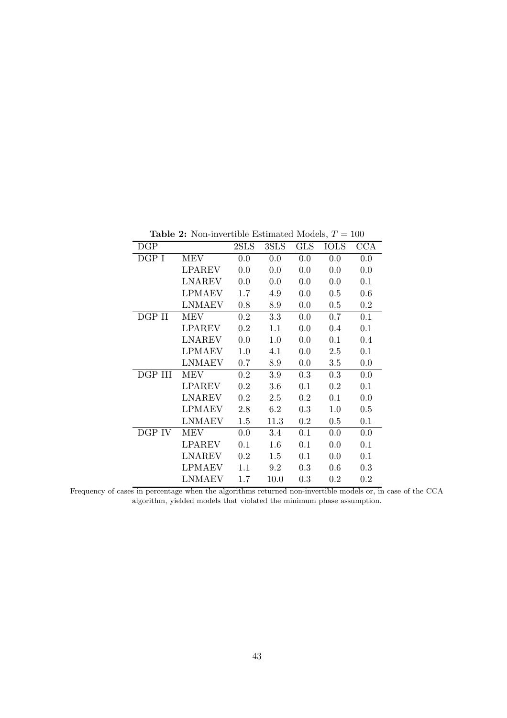| $_{\rm DGP}$ |               | 2SLS    | 3SLS    | <b>GLS</b> | <b>IOLS</b> | CCA |
|--------------|---------------|---------|---------|------------|-------------|-----|
| DGP I        | <b>MEV</b>    | 0.0     | 0.0     | 0.0        | 0.0         | 0.0 |
|              | <b>LPAREV</b> | 0.0     | 0.0     | 0.0        | 0.0         | 0.0 |
|              | LNAREV        | 0.0     | 0.0     | 0.0        | 0.0         | 0.1 |
|              | <b>LPMAEV</b> | 1.7     | 4.9     | 0.0        | 0.5         | 0.6 |
|              | <b>LNMAEV</b> | 0.8     | 8.9     | 0.0        | 0.5         | 0.2 |
| DGP II       | <b>MEV</b>    | 0.2     | 3.3     | 0.0        | 0.7         | 0.1 |
|              | <b>LPAREV</b> | 0.2     | 1.1     | 0.0        | 0.4         | 0.1 |
|              | <b>LNAREV</b> | 0.0     | $1.0\,$ | 0.0        | 0.1         | 0.4 |
|              | <b>LPMAEV</b> | 1.0     | 4.1     | 0.0        | 2.5         | 0.1 |
|              | <b>LNMAEV</b> | 0.7     | 8.9     | 0.0        | 3.5         | 0.0 |
| DGP III      | <b>MEV</b>    | $0.2\,$ | 3.9     | 0.3        | 0.3         | 0.0 |
|              | <b>LPAREV</b> | 0.2     | 3.6     | 0.1        | 0.2         | 0.1 |
|              | <b>LNAREV</b> | 0.2     | 2.5     | 0.2        | 0.1         | 0.0 |
|              | <b>LPMAEV</b> | 2.8     | 6.2     | 0.3        | 1.0         | 0.5 |
|              | <b>LNMAEV</b> | 1.5     | 11.3    | 0.2        | 0.5         | 0.1 |
| DGP IV       | <b>MEV</b>    | 0.0     | 3.4     | 0.1        | 0.0         | 0.0 |
|              | <b>LPAREV</b> | 0.1     | 1.6     | 0.1        | 0.0         | 0.1 |
|              | <b>LNAREV</b> | 0.2     | 1.5     | 0.1        | 0.0         | 0.1 |
|              | <b>LPMAEV</b> | 1.1     | 9.2     | 0.3        | 0.6         | 0.3 |
|              | LNMAEV        | 1.7     | 10.0    | 0.3        | $0.2\,$     | 0.2 |

Table 2: Non-invertible Estimated Models,  $T = 100$ 

Frequency of cases in percentage when the algorithms returned non-invertible models or, in case of the CCA algorithm, yielded models that violated the minimum phase assumption.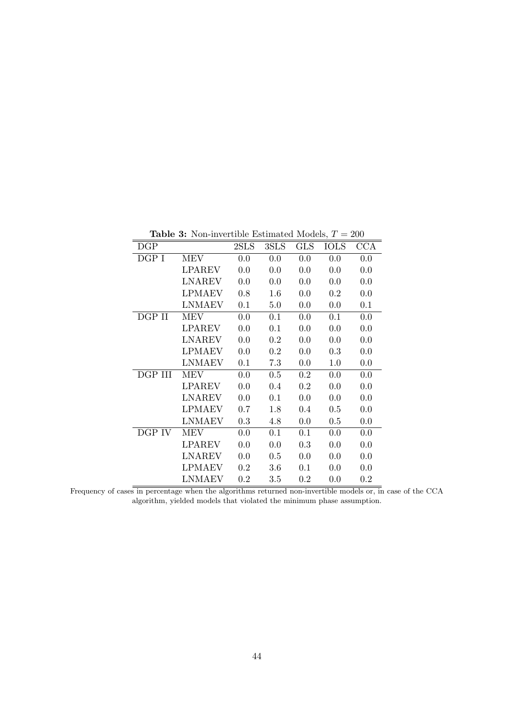| $_{\rm DGP}$ |               | 2SLS | 3SLS | <b>GLS</b> | <b>IOLS</b> | $_{\rm CCA}$ |
|--------------|---------------|------|------|------------|-------------|--------------|
| DGP I        | <b>MEV</b>    | 0.0  | 0.0  | 0.0        | 0.0         | 0.0          |
|              | LPAREV        | 0.0  | 0.0  | 0.0        | 0.0         | 0.0          |
|              | LNAREV        | 0.0  | 0.0  | 0.0        | 0.0         | 0.0          |
|              | <b>LPMAEV</b> | 0.8  | 1.6  | 0.0        | 0.2         | 0.0          |
|              | <b>LNMAEV</b> | 0.1  | 5.0  | 0.0        | 0.0         | 0.1          |
| DGP II       | <b>MEV</b>    | 0.0  | 0.1  | 0.0        | 0.1         | 0.0          |
|              | LPAREV        | 0.0  | 0.1  | 0.0        | 0.0         | 0.0          |
|              | <b>LNAREV</b> | 0.0  | 0.2  | 0.0        | 0.0         | 0.0          |
|              | <b>LPMAEV</b> | 0.0  | 0.2  | 0.0        | 0.3         | 0.0          |
|              | <b>LNMAEV</b> | 0.1  | 7.3  | 0.0        | 1.0         | 0.0          |
| DGP III      | MEV           | 0.0  | 0.5  | $0.2\,$    | 0.0         | 0.0          |
|              | <b>LPAREV</b> | 0.0  | 0.4  | 0.2        | 0.0         | 0.0          |
|              | <b>LNAREV</b> | 0.0  | 0.1  | 0.0        | 0.0         | 0.0          |
|              | <b>LPMAEV</b> | 0.7  | 1.8  | 0.4        | 0.5         | 0.0          |
|              | <b>LNMAEV</b> | 0.3  | 4.8  | 0.0        | 0.5         | 0.0          |
| DGP IV       | MEV           | 0.0  | 0.1  | 0.1        | 0.0         | 0.0          |
|              | <b>LPAREV</b> | 0.0  | 0.0  | 0.3        | 0.0         | 0.0          |
|              | <b>LNAREV</b> | 0.0  | 0.5  | 0.0        | 0.0         | 0.0          |
|              | LPMAEV        | 0.2  | 3.6  | 0.1        | 0.0         | 0.0          |
|              | LNMAEV        | 0.2  | 3.5  | 0.2        | 0.0         | 0.2          |

**Table 3:** Non-invertible Estimated Models,  $T = 200$ 

Frequency of cases in percentage when the algorithms returned non-invertible models or, in case of the CCA algorithm, yielded models that violated the minimum phase assumption.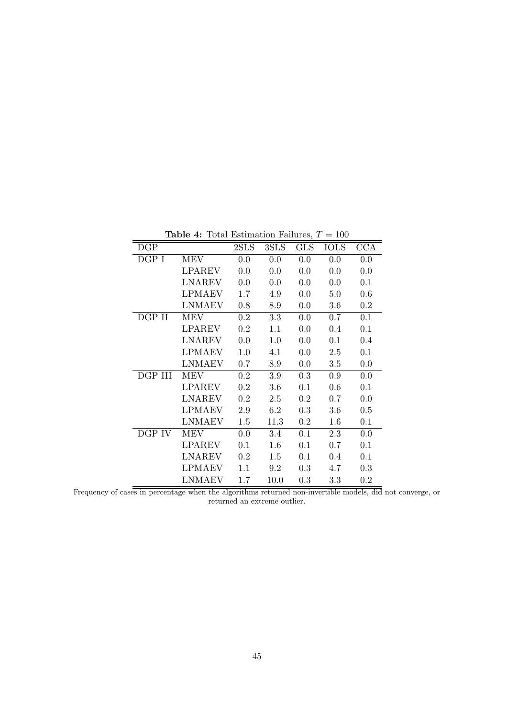| DGP     |               | 2SLS    | 3SLS | <b>GLS</b> | <b>IOLS</b> | <b>CCA</b> |
|---------|---------------|---------|------|------------|-------------|------------|
| DGP I   | <b>MEV</b>    | 0.0     | 0.0  | 0.0        | 0.0         | 0.0        |
|         | <b>LPAREV</b> | 0.0     | 0.0  | 0.0        | 0.0         | 0.0        |
|         | <b>LNAREV</b> | 0.0     | 0.0  | 0.0        | 0.0         | 0.1        |
|         | <b>LPMAEV</b> | 1.7     | 4.9  | 0.0        | 5.0         | 0.6        |
|         | <b>LNMAEV</b> | 0.8     | 8.9  | 0.0        | 3.6         | 0.2        |
| DGP II  | <b>MEV</b>    | 0.2     | 3.3  | 0.0        | 0.7         | 0.1        |
|         | <b>LPAREV</b> | 0.2     | 1.1  | 0.0        | 0.4         | 0.1        |
|         | <b>LNAREV</b> | 0.0     | 1.0  | 0.0        | 0.1         | 0.4        |
|         | <b>LPMAEV</b> | 1.0     | 4.1  | 0.0        | 2.5         | 0.1        |
|         | <b>LNMAEV</b> | 0.7     | 8.9  | 0.0        | 3.5         | 0.0        |
| DGP III | MEV           | $0.2\,$ | 3.9  | 0.3        | 0.9         | 0.0        |
|         | <b>LPAREV</b> | 0.2     | 3.6  | 0.1        | 0.6         | 0.1        |
|         | <b>LNAREV</b> | 0.2     | 2.5  | 0.2        | 0.7         | 0.0        |
|         | <b>LPMAEV</b> | 2.9     | 6.2  | 0.3        | 3.6         | 0.5        |
|         | <b>LNMAEV</b> | 1.5     | 11.3 | 0.2        | 1.6         | 0.1        |
| DGP IV  | MEV           | 0.0     | 3.4  | 0.1        | 2.3         | 0.0        |
|         | <b>LPAREV</b> | 0.1     | 1.6  | 0.1        | 0.7         | 0.1        |
|         | <b>LNAREV</b> | 0.2     | 1.5  | 0.1        | 0.4         | 0.1        |
|         | <b>LPMAEV</b> | 1.1     | 9.2  | 0.3        | 4.7         | 0.3        |
|         | <b>LNMAEV</b> | 1.7     | 10.0 | 0.3        | 3.3         | 0.2        |

Table 4: Total Estimation Failures,  $T = 100$ 

Frequency of cases in percentage when the algorithms returned non-invertible models, did not converge, or returned an extreme outlier.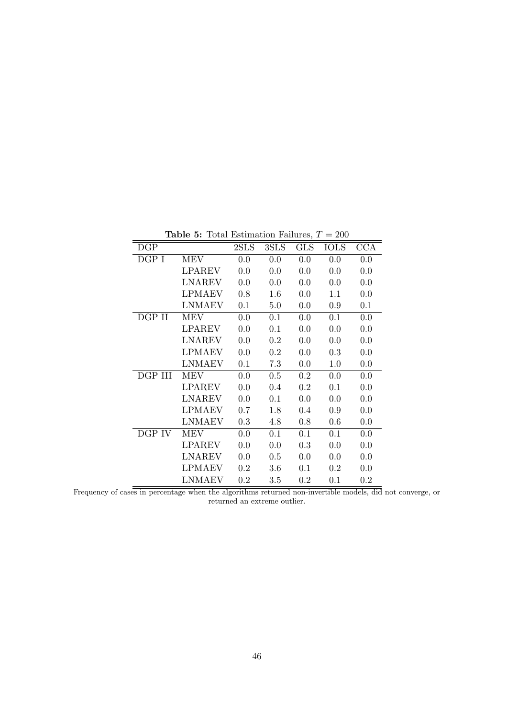| DGP     |               | 2SLS | 3SLS | <b>GLS</b> | <b>IOLS</b> | <b>CCA</b> |
|---------|---------------|------|------|------------|-------------|------------|
| DGP I   | MEV           | 0.0  | 0.0  | 0.0        | 0.0         | 0.0        |
|         | <b>LPAREV</b> | 0.0  | 0.0  | 0.0        | 0.0         | 0.0        |
|         | <b>LNAREV</b> | 0.0  | 0.0  | 0.0        | 0.0         | 0.0        |
|         | LPMAEV        | 0.8  | 1.6  | 0.0        | 1.1         | 0.0        |
|         | <b>LNMAEV</b> | 0.1  | 5.0  | 0.0        | 0.9         | 0.1        |
| DGP II  | MEV           | 0.0  | 0.1  | 0.0        | 0.1         | 0.0        |
|         | <b>LPAREV</b> | 0.0  | 0.1  | 0.0        | 0.0         | 0.0        |
|         | LNAREV        | 0.0  | 0.2  | 0.0        | 0.0         | 0.0        |
|         | <b>LPMAEV</b> | 0.0  | 0.2  | 0.0        | 0.3         | 0.0        |
|         | <b>LNMAEV</b> | 0.1  | 7.3  | 0.0        | 1.0         | 0.0        |
| DGP III | MEV           | 0.0  | 0.5  | $0.2\,$    | 0.0         | 0.0        |
|         | <b>LPAREV</b> | 0.0  | 0.4  | 0.2        | 0.1         | 0.0        |
|         | <b>LNAREV</b> | 0.0  | 0.1  | 0.0        | 0.0         | 0.0        |
|         | <b>LPMAEV</b> | 0.7  | 1.8  | 0.4        | 0.9         | 0.0        |
|         | <b>LNMAEV</b> | 0.3  | 4.8  | 0.8        | 0.6         | 0.0        |
| DGP IV  | MEV           | 0.0  | 0.1  | 0.1        | 0.1         | 0.0        |
|         | <b>LPAREV</b> | 0.0  | 0.0  | 0.3        | 0.0         | 0.0        |
|         | LNAREV        | 0.0  | 0.5  | 0.0        | 0.0         | 0.0        |
|         | <b>LPMAEV</b> | 0.2  | 3.6  | 0.1        | $0.2\,$     | 0.0        |
|         | <b>LNMAEV</b> | 0.2  | 3.5  | 0.2        | 0.1         | 0.2        |

Table 5: Total Estimation Failures,  $T = 200$ 

Frequency of cases in percentage when the algorithms returned non-invertible models, did not converge, or returned an extreme outlier.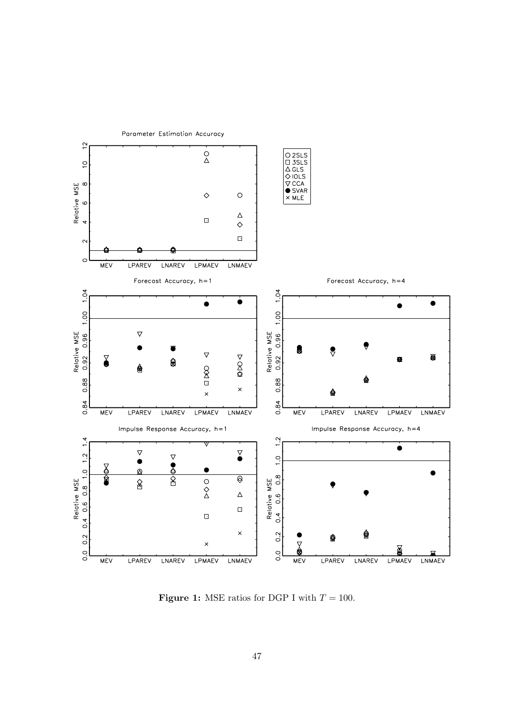

Parameter Estimation Accuracy

**Figure 1:** MSE ratios for DGP I with  $T = 100$ .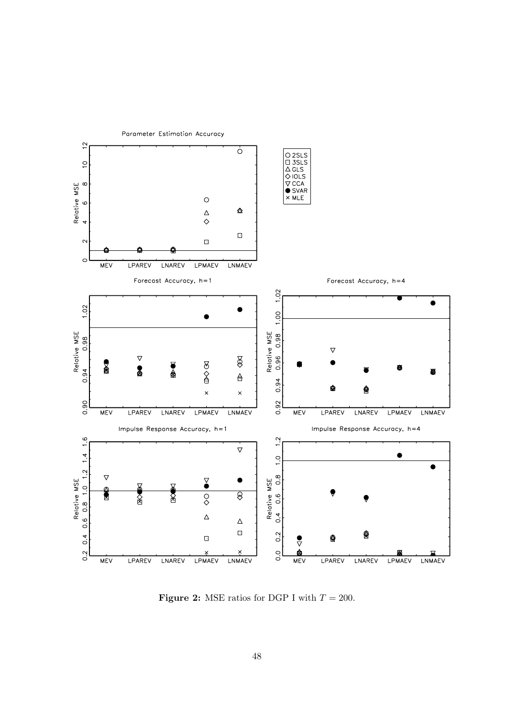

Parameter Estimation Accuracy

**Figure 2:** MSE ratios for DGP I with  $T = 200$ .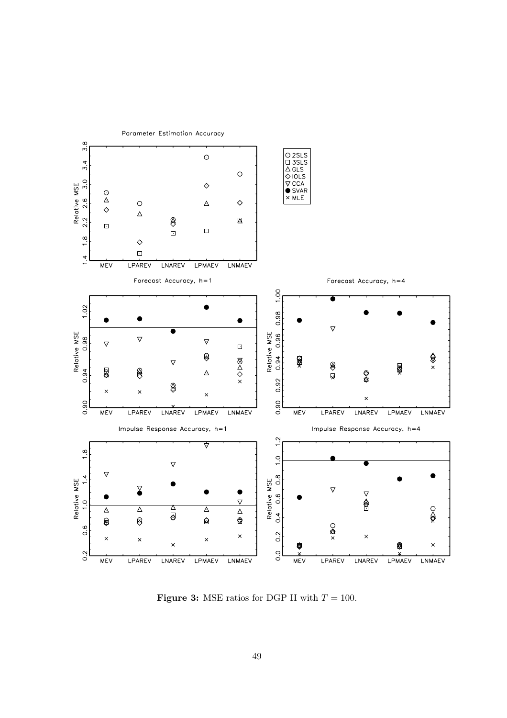

**Figure 3:** MSE ratios for DGP II with  $T = 100$ .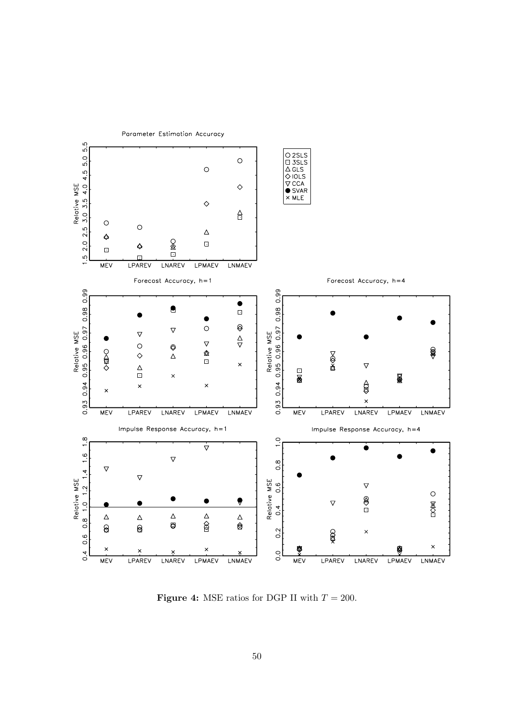

**Figure 4:** MSE ratios for DGP II with  $T = 200$ .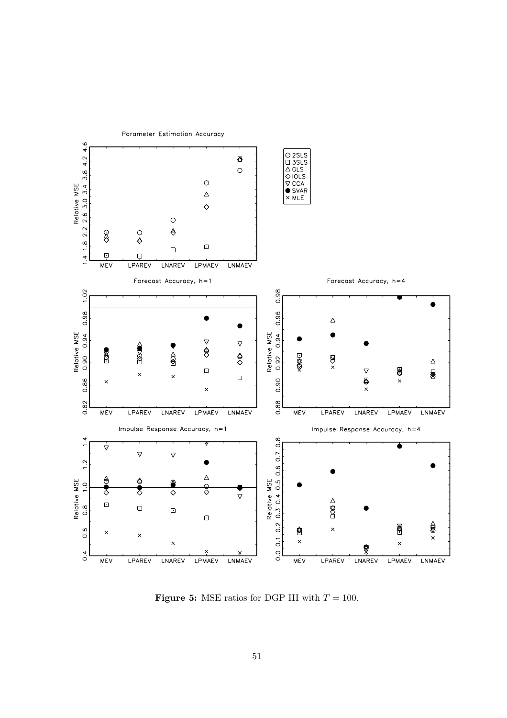

**Figure 5:** MSE ratios for DGP III with  $T = 100$ .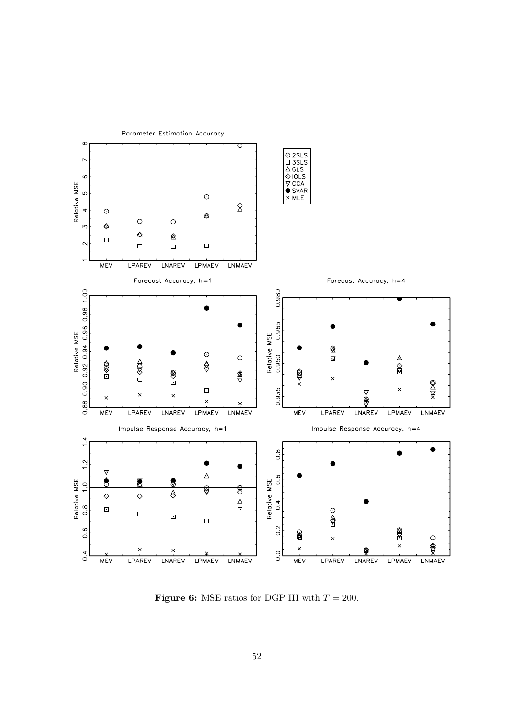

**Figure 6:** MSE ratios for DGP III with  $T = 200$ .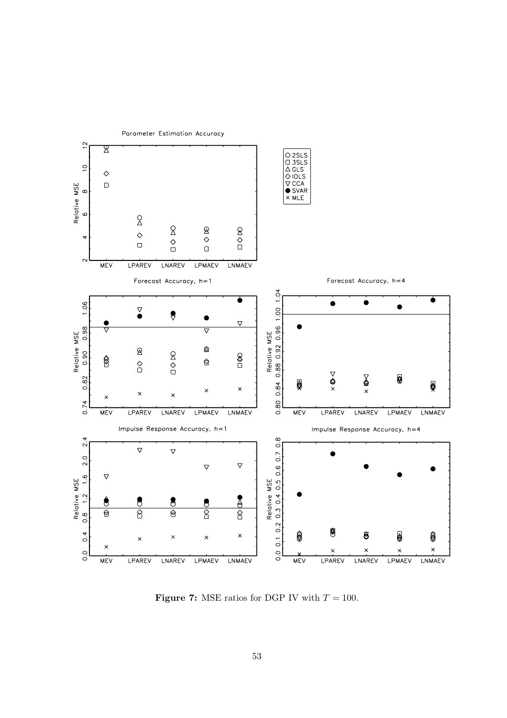

**Figure 7:** MSE ratios for DGP IV with  $T = 100$ .